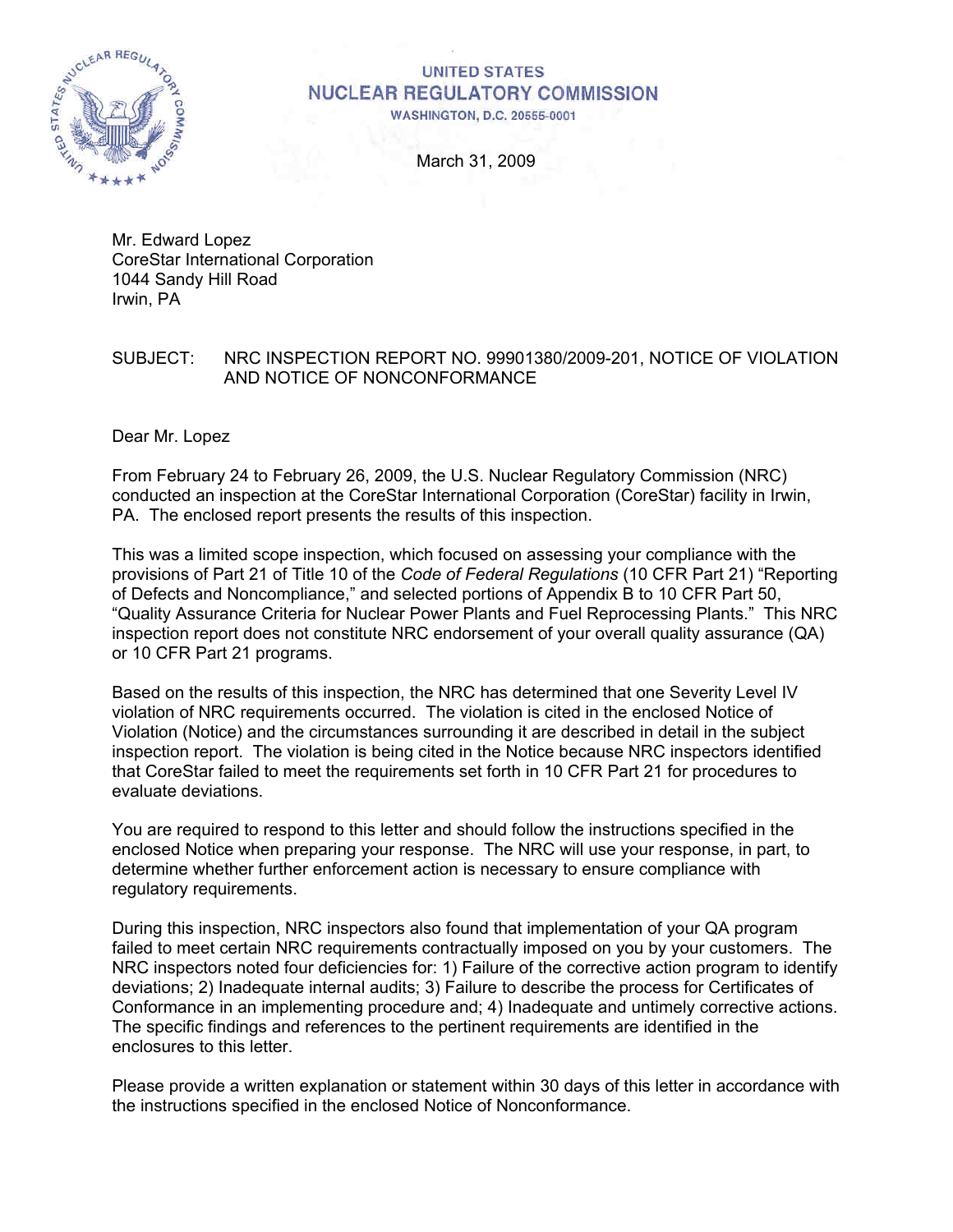

# **UNITED STATES NUCLEAR REGULATORY COMMISSION**

**WASHINGTON, D.C. 20555-0001** 

March 31, 2009

Mr. Edward Lopez CoreStar International Corporation 1044 Sandy Hill Road Irwin, PA

#### SUBJECT: NRC INSPECTION REPORT NO. 99901380/2009-201, NOTICE OF VIOLATION AND NOTICE OF NONCONFORMANCE

Dear Mr. Lopez

From February 24 to February 26, 2009, the U.S. Nuclear Regulatory Commission (NRC) conducted an inspection at the CoreStar International Corporation (CoreStar) facility in Irwin, PA. The enclosed report presents the results of this inspection.

This was a limited scope inspection, which focused on assessing your compliance with the provisions of Part 21 of Title 10 of the *Code of Federal Regulations* (10 CFR Part 21) "Reporting of Defects and Noncompliance," and selected portions of Appendix B to 10 CFR Part 50, "Quality Assurance Criteria for Nuclear Power Plants and Fuel Reprocessing Plants." This NRC inspection report does not constitute NRC endorsement of your overall quality assurance (QA) or 10 CFR Part 21 programs.

Based on the results of this inspection, the NRC has determined that one Severity Level IV violation of NRC requirements occurred. The violation is cited in the enclosed Notice of Violation (Notice) and the circumstances surrounding it are described in detail in the subject inspection report. The violation is being cited in the Notice because NRC inspectors identified that CoreStar failed to meet the requirements set forth in 10 CFR Part 21 for procedures to evaluate deviations.

You are required to respond to this letter and should follow the instructions specified in the enclosed Notice when preparing your response. The NRC will use your response, in part, to determine whether further enforcement action is necessary to ensure compliance with regulatory requirements.

During this inspection, NRC inspectors also found that implementation of your QA program failed to meet certain NRC requirements contractually imposed on you by your customers. The NRC inspectors noted four deficiencies for: 1) Failure of the corrective action program to identify deviations; 2) Inadequate internal audits; 3) Failure to describe the process for Certificates of Conformance in an implementing procedure and; 4) Inadequate and untimely corrective actions. The specific findings and references to the pertinent requirements are identified in the enclosures to this letter.

Please provide a written explanation or statement within 30 days of this letter in accordance with the instructions specified in the enclosed Notice of Nonconformance.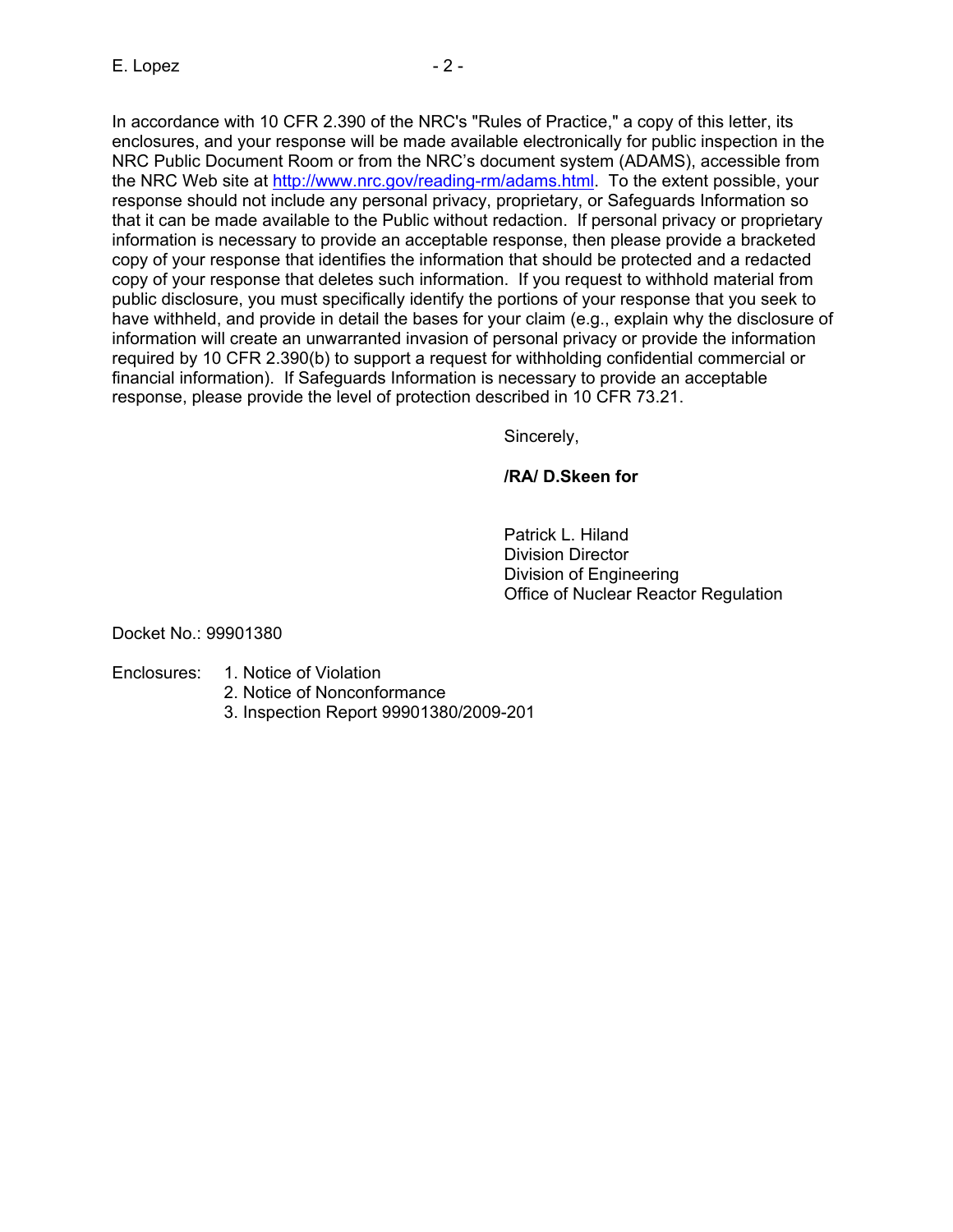In accordance with 10 CFR 2.390 of the NRC's "Rules of Practice," a copy of this letter, its enclosures, and your response will be made available electronically for public inspection in the NRC Public Document Room or from the NRC's document system (ADAMS), accessible from the NRC Web site at [http://www.nrc.gov/reading-rm/adams.html.](http://www.nrc.gov/reading-rm/adams.html) To the extent possible, your response should not include any personal privacy, proprietary, or Safeguards Information so that it can be made available to the Public without redaction. If personal privacy or proprietary information is necessary to provide an acceptable response, then please provide a bracketed copy of your response that identifies the information that should be protected and a redacted copy of your response that deletes such information. If you request to withhold material from public disclosure, you must specifically identify the portions of your response that you seek to have withheld, and provide in detail the bases for your claim (e.g., explain why the disclosure of information will create an unwarranted invasion of personal privacy or provide the information required by 10 CFR 2.390(b) to support a request for withholding confidential commercial or financial information). If Safeguards Information is necessary to provide an acceptable response, please provide the level of protection described in 10 CFR 73.21.

Sincerely,

# **/RA/ D.Skeen for**

 Patrick L. Hiland Division Director Division of Engineering Office of Nuclear Reactor Regulation

Docket No.: 99901380

## Enclosures: 1. Notice of Violation

- 2. Notice of Nonconformance
- 3. Inspection Report 99901380/2009-201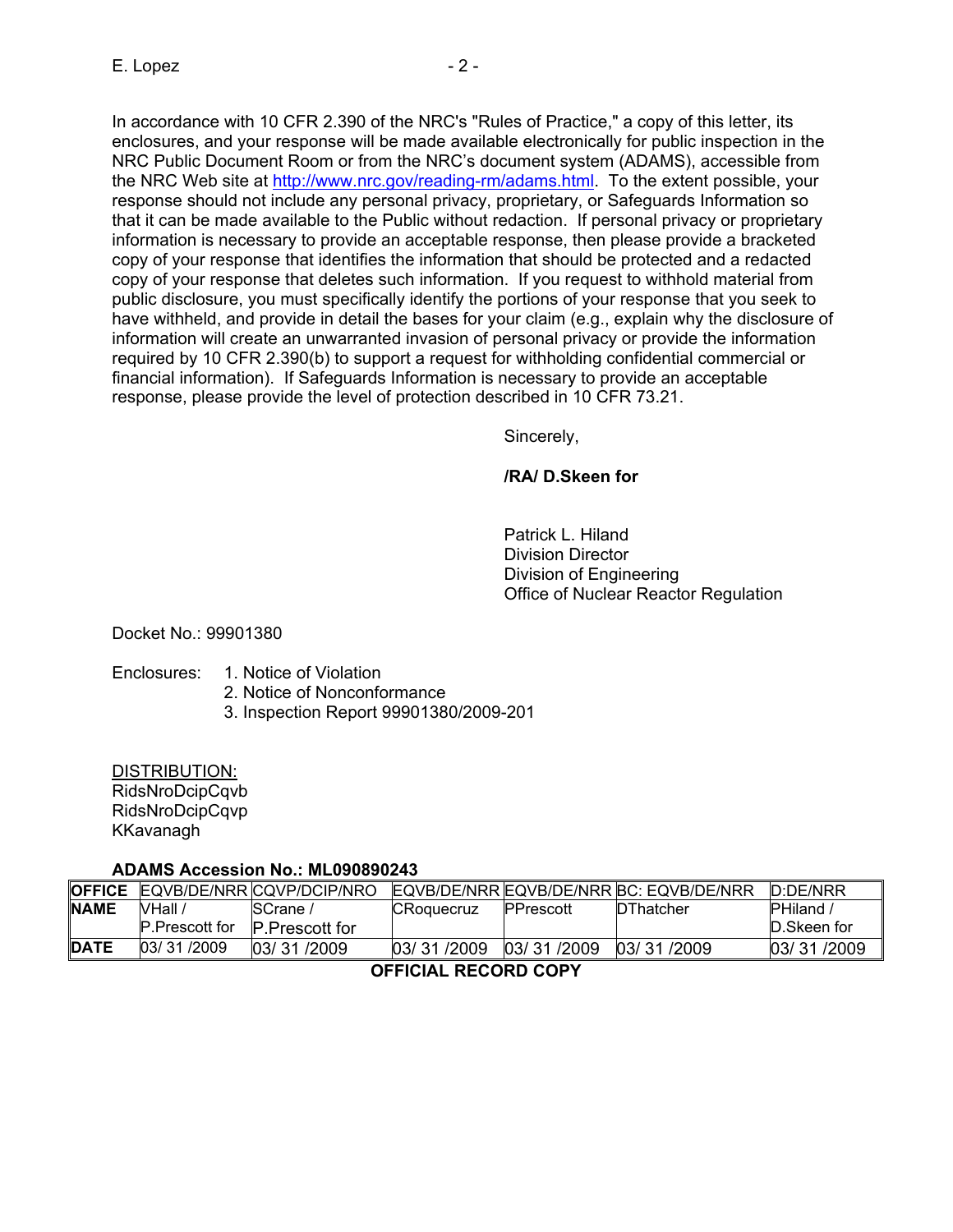In accordance with 10 CFR 2.390 of the NRC's "Rules of Practice," a copy of this letter, its enclosures, and your response will be made available electronically for public inspection in the NRC Public Document Room or from the NRC's document system (ADAMS), accessible from the NRC Web site at [http://www.nrc.gov/reading-rm/adams.html.](http://www.nrc.gov/reading-rm/adams.html) To the extent possible, your response should not include any personal privacy, proprietary, or Safeguards Information so that it can be made available to the Public without redaction. If personal privacy or proprietary information is necessary to provide an acceptable response, then please provide a bracketed copy of your response that identifies the information that should be protected and a redacted copy of your response that deletes such information. If you request to withhold material from public disclosure, you must specifically identify the portions of your response that you seek to have withheld, and provide in detail the bases for your claim (e.g., explain why the disclosure of information will create an unwarranted invasion of personal privacy or provide the information required by 10 CFR 2.390(b) to support a request for withholding confidential commercial or financial information). If Safeguards Information is necessary to provide an acceptable response, please provide the level of protection described in 10 CFR 73.21.

Sincerely,

# **/RA/ D.Skeen for**

 Patrick L. Hiland Division Director Division of Engineering Office of Nuclear Reactor Regulation

Docket No.: 99901380

## Enclosures: 1. Notice of Violation

- 2. Notice of Nonconformance
- 3. Inspection Report 99901380/2009-201

DISTRIBUTION:

RidsNroDcipCqvb RidsNroDcipCqvp KKavanagh

# **ADAMS Accession No.: ML090890243**

| <b>OFFICE</b>        |                       | EQVB/DE/NRR CQVP/DCIP/NRO |                   |            | EQVB/DE/NRR EQVB/DE/NRR BC: EQVB/DE/NRR | D:DE/NRR       |
|----------------------|-----------------------|---------------------------|-------------------|------------|-----------------------------------------|----------------|
| <b>NAME</b>          | NHall /               | <b>SCrane</b> /           | <b>CRoquecruz</b> | PPrescott  | DThatcher                               | <b>PHiland</b> |
|                      | <b>P.Prescott for</b> | <b>P.Prescott for</b>     |                   |            |                                         | D.Skeen for    |
| <b>DATE</b>          | 03/31/2009            | 03/31/2009                | 03/31/2009        | 03/31/2009 | 03/31/2009                              | 03/31/2009     |
| AFFIAILL BEAARD AABV |                       |                           |                   |            |                                         |                |

**OFFICIAL RECORD COPY**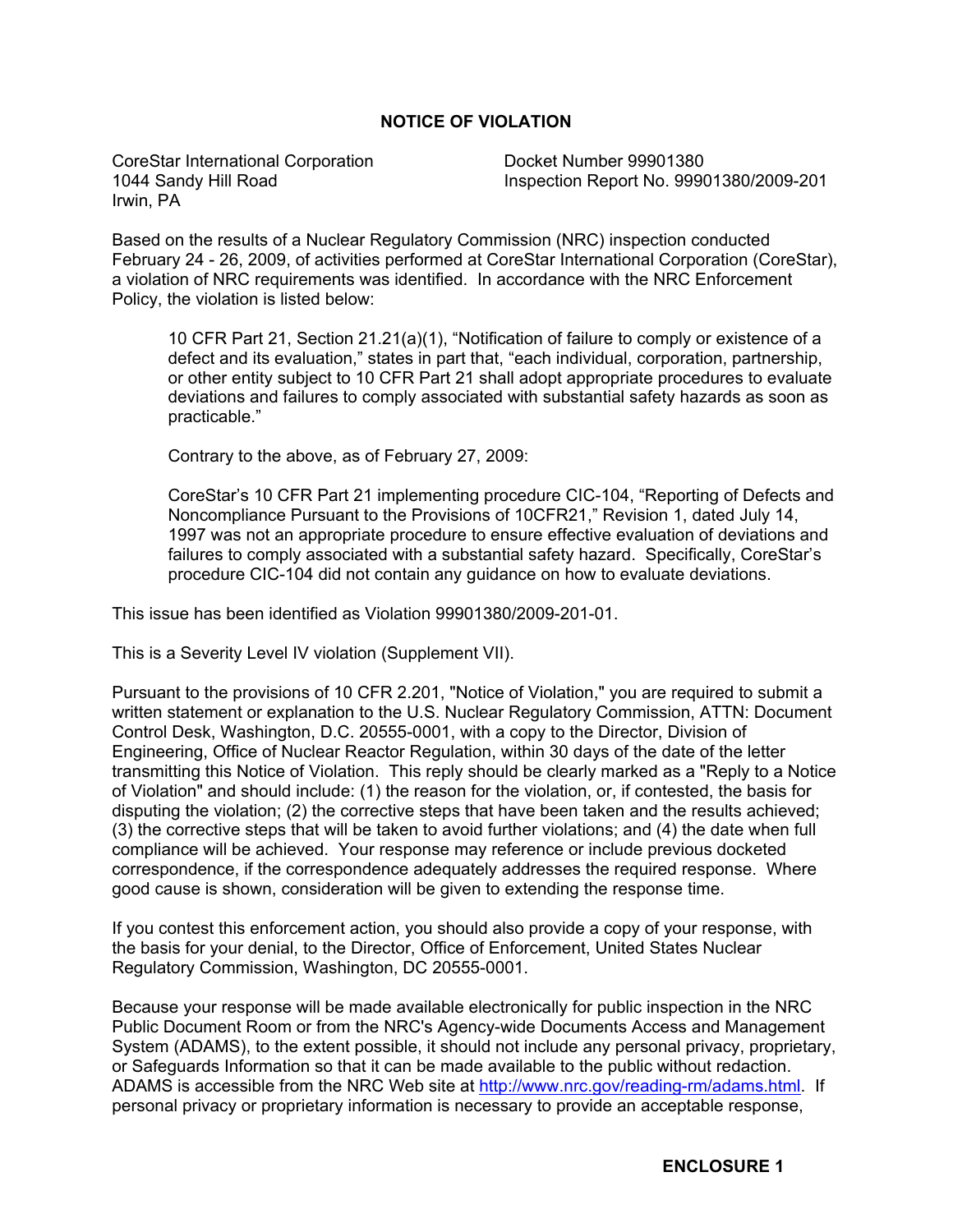## **NOTICE OF VIOLATION**

CoreStar International Corporation 1044 Sandy Hill Road Irwin, PA

Docket Number 99901380 Inspection Report No. 99901380/2009-201

Based on the results of a Nuclear Regulatory Commission (NRC) inspection conducted February 24 - 26, 2009, of activities performed at CoreStar International Corporation (CoreStar), a violation of NRC requirements was identified. In accordance with the NRC Enforcement Policy, the violation is listed below:

10 CFR Part 21, Section 21.21(a)(1), "Notification of failure to comply or existence of a defect and its evaluation," states in part that, "each individual, corporation, partnership, or other entity subject to 10 CFR Part 21 shall adopt appropriate procedures to evaluate deviations and failures to comply associated with substantial safety hazards as soon as practicable."

Contrary to the above, as of February 27, 2009:

CoreStar's 10 CFR Part 21 implementing procedure CIC-104, "Reporting of Defects and Noncompliance Pursuant to the Provisions of 10CFR21," Revision 1, dated July 14, 1997 was not an appropriate procedure to ensure effective evaluation of deviations and failures to comply associated with a substantial safety hazard. Specifically, CoreStar's procedure CIC-104 did not contain any guidance on how to evaluate deviations.

This issue has been identified as Violation 99901380/2009-201-01.

This is a Severity Level IV violation (Supplement VII).

Pursuant to the provisions of 10 CFR 2.201, "Notice of Violation," you are required to submit a written statement or explanation to the U.S. Nuclear Regulatory Commission, ATTN: Document Control Desk, Washington, D.C. 20555-0001, with a copy to the Director, Division of Engineering, Office of Nuclear Reactor Regulation, within 30 days of the date of the letter transmitting this Notice of Violation. This reply should be clearly marked as a "Reply to a Notice of Violation" and should include: (1) the reason for the violation, or, if contested, the basis for disputing the violation; (2) the corrective steps that have been taken and the results achieved; (3) the corrective steps that will be taken to avoid further violations; and (4) the date when full compliance will be achieved. Your response may reference or include previous docketed correspondence, if the correspondence adequately addresses the required response. Where good cause is shown, consideration will be given to extending the response time.

If you contest this enforcement action, you should also provide a copy of your response, with the basis for your denial, to the Director, Office of Enforcement, United States Nuclear Regulatory Commission, Washington, DC 20555-0001.

Because your response will be made available electronically for public inspection in the NRC Public Document Room or from the NRC's Agency-wide Documents Access and Management System (ADAMS), to the extent possible, it should not include any personal privacy, proprietary, or Safeguards Information so that it can be made available to the public without redaction. ADAMS is accessible from the NRC Web site at [http://www.nrc.gov/reading-rm/adams.html.](http://www.nrc.gov/reading-rm/adams.html) If personal privacy or proprietary information is necessary to provide an acceptable response,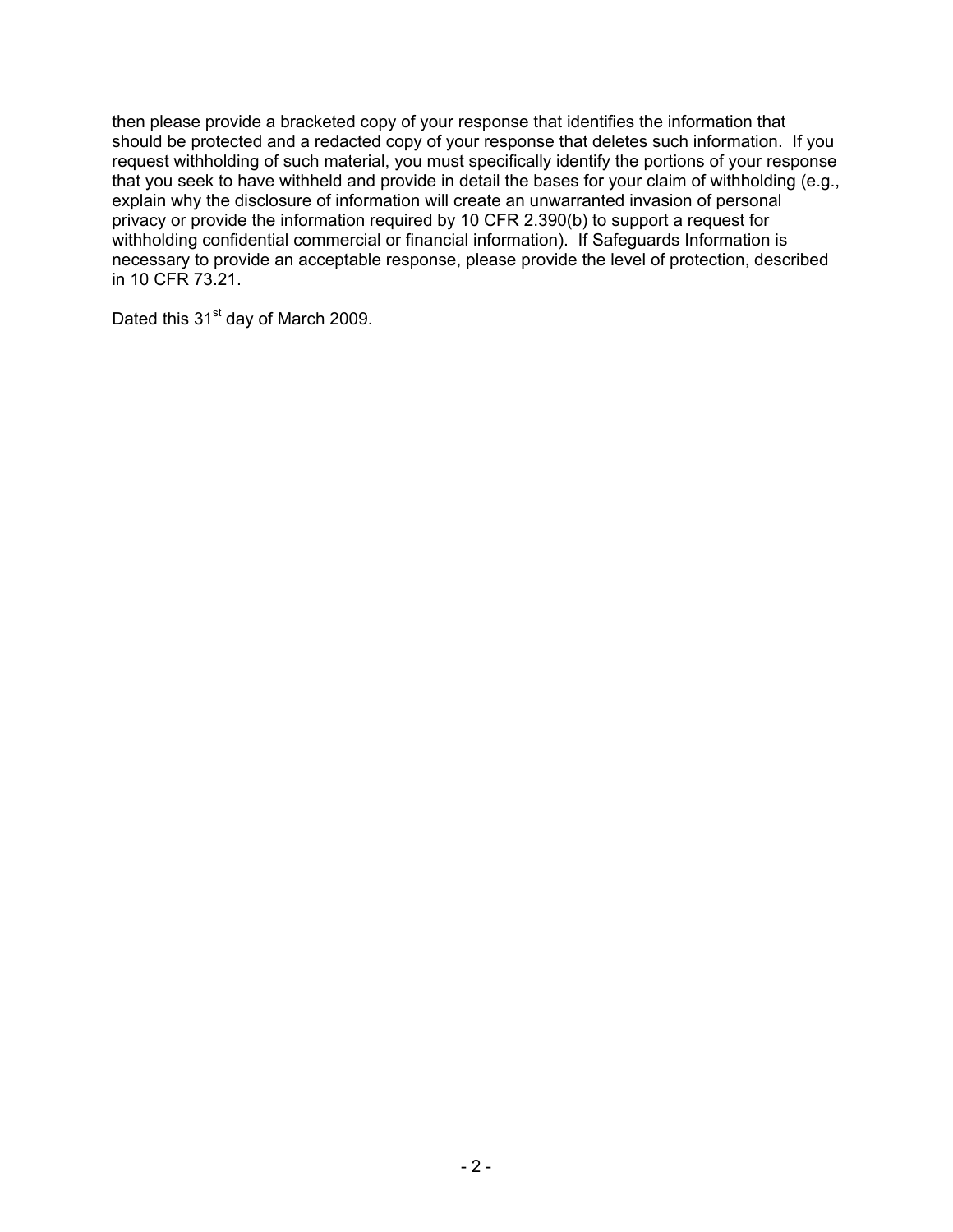then please provide a bracketed copy of your response that identifies the information that should be protected and a redacted copy of your response that deletes such information. If you request withholding of such material, you must specifically identify the portions of your response that you seek to have withheld and provide in detail the bases for your claim of withholding (e.g., explain why the disclosure of information will create an unwarranted invasion of personal privacy or provide the information required by 10 CFR 2.390(b) to support a request for withholding confidential commercial or financial information). If Safeguards Information is necessary to provide an acceptable response, please provide the level of protection, described in 10 CFR 73.21.

Dated this 31<sup>st</sup> day of March 2009.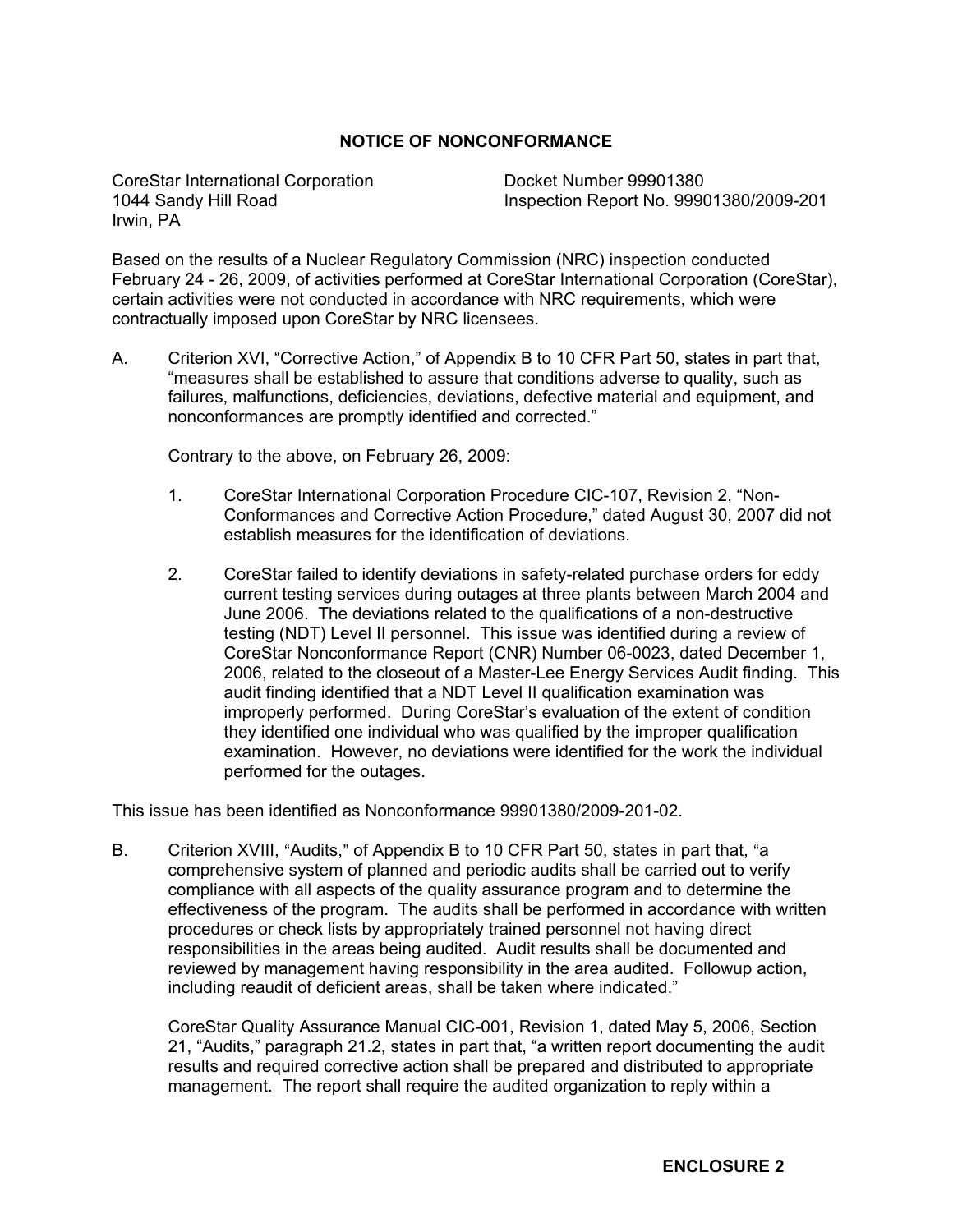## **NOTICE OF NONCONFORMANCE**

CoreStar International Corporation 1044 Sandy Hill Road Irwin, PA

Docket Number 99901380 Inspection Report No. 99901380/2009-201

Based on the results of a Nuclear Regulatory Commission (NRC) inspection conducted February 24 - 26, 2009, of activities performed at CoreStar International Corporation (CoreStar), certain activities were not conducted in accordance with NRC requirements, which were contractually imposed upon CoreStar by NRC licensees.

A. Criterion XVI, "Corrective Action," of Appendix B to 10 CFR Part 50, states in part that, "measures shall be established to assure that conditions adverse to quality, such as failures, malfunctions, deficiencies, deviations, defective material and equipment, and nonconformances are promptly identified and corrected."

Contrary to the above, on February 26, 2009:

- 1. CoreStar International Corporation Procedure CIC-107, Revision 2, "Non-Conformances and Corrective Action Procedure," dated August 30, 2007 did not establish measures for the identification of deviations.
- 2. CoreStar failed to identify deviations in safety-related purchase orders for eddy current testing services during outages at three plants between March 2004 and June 2006. The deviations related to the qualifications of a non-destructive testing (NDT) Level II personnel. This issue was identified during a review of CoreStar Nonconformance Report (CNR) Number 06-0023, dated December 1, 2006, related to the closeout of a Master-Lee Energy Services Audit finding. This audit finding identified that a NDT Level II qualification examination was improperly performed. During CoreStar's evaluation of the extent of condition they identified one individual who was qualified by the improper qualification examination. However, no deviations were identified for the work the individual performed for the outages.

This issue has been identified as Nonconformance 99901380/2009-201-02.

B. Criterion XVIII, "Audits," of Appendix B to 10 CFR Part 50, states in part that, "a comprehensive system of planned and periodic audits shall be carried out to verify compliance with all aspects of the quality assurance program and to determine the effectiveness of the program. The audits shall be performed in accordance with written procedures or check lists by appropriately trained personnel not having direct responsibilities in the areas being audited. Audit results shall be documented and reviewed by management having responsibility in the area audited. Followup action, including reaudit of deficient areas, shall be taken where indicated."

CoreStar Quality Assurance Manual CIC-001, Revision 1, dated May 5, 2006, Section 21, "Audits," paragraph 21.2, states in part that, "a written report documenting the audit results and required corrective action shall be prepared and distributed to appropriate management. The report shall require the audited organization to reply within a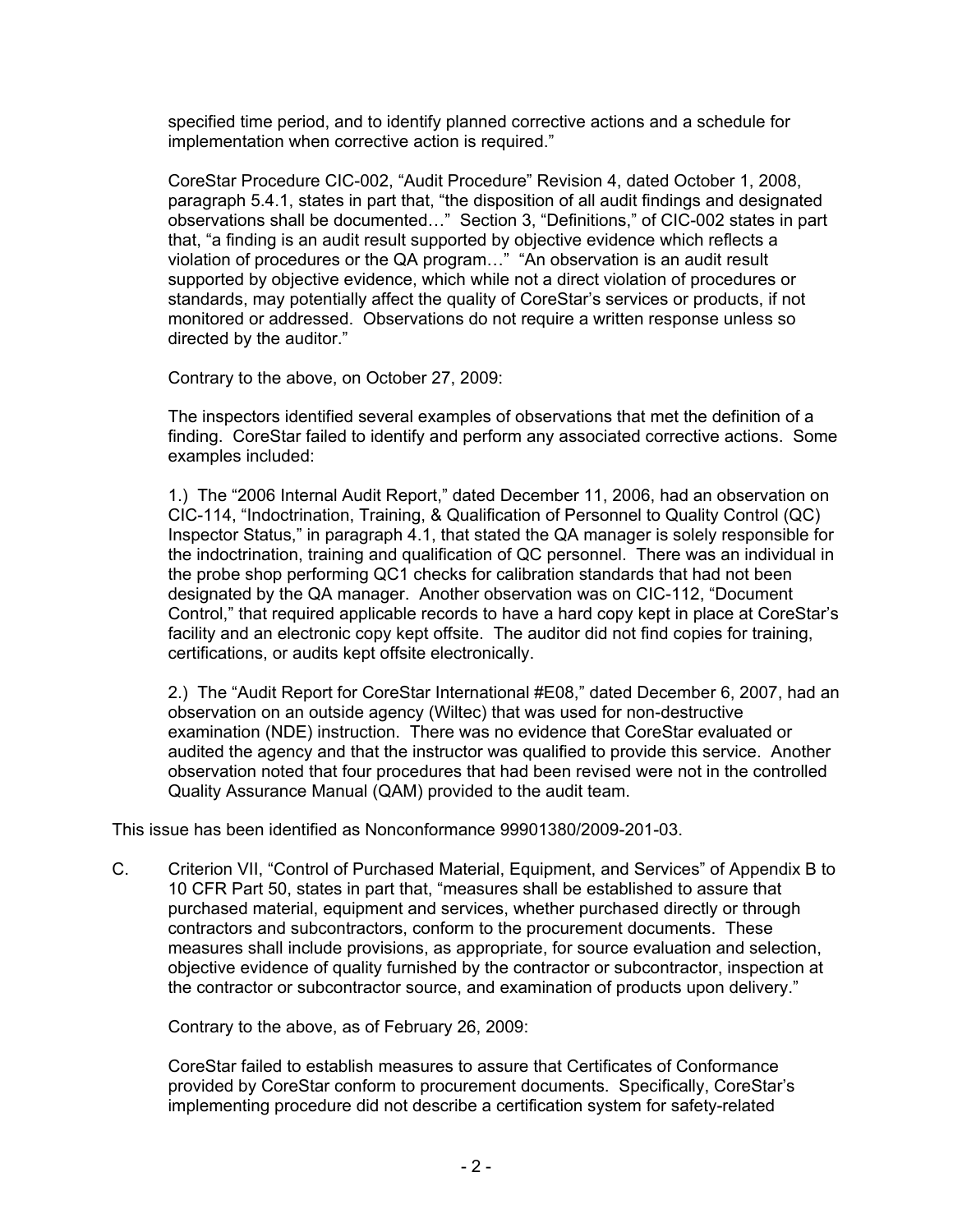specified time period, and to identify planned corrective actions and a schedule for implementation when corrective action is required."

CoreStar Procedure CIC-002, "Audit Procedure" Revision 4, dated October 1, 2008, paragraph 5.4.1, states in part that, "the disposition of all audit findings and designated observations shall be documented…" Section 3, "Definitions," of CIC-002 states in part that, "a finding is an audit result supported by objective evidence which reflects a violation of procedures or the QA program…" "An observation is an audit result supported by objective evidence, which while not a direct violation of procedures or standards, may potentially affect the quality of CoreStar's services or products, if not monitored or addressed. Observations do not require a written response unless so directed by the auditor."

Contrary to the above, on October 27, 2009:

The inspectors identified several examples of observations that met the definition of a finding. CoreStar failed to identify and perform any associated corrective actions. Some examples included:

1.) The "2006 Internal Audit Report," dated December 11, 2006, had an observation on CIC-114, "Indoctrination, Training, & Qualification of Personnel to Quality Control (QC) Inspector Status," in paragraph 4.1, that stated the QA manager is solely responsible for the indoctrination, training and qualification of QC personnel. There was an individual in the probe shop performing QC1 checks for calibration standards that had not been designated by the QA manager. Another observation was on CIC-112, "Document Control," that required applicable records to have a hard copy kept in place at CoreStar's facility and an electronic copy kept offsite. The auditor did not find copies for training, certifications, or audits kept offsite electronically.

2.) The "Audit Report for CoreStar International #E08," dated December 6, 2007, had an observation on an outside agency (Wiltec) that was used for non-destructive examination (NDE) instruction. There was no evidence that CoreStar evaluated or audited the agency and that the instructor was qualified to provide this service. Another observation noted that four procedures that had been revised were not in the controlled Quality Assurance Manual (QAM) provided to the audit team.

This issue has been identified as Nonconformance 99901380/2009-201-03.

C. Criterion VII, "Control of Purchased Material, Equipment, and Services" of Appendix B to 10 CFR Part 50, states in part that, "measures shall be established to assure that purchased material, equipment and services, whether purchased directly or through contractors and subcontractors, conform to the procurement documents. These measures shall include provisions, as appropriate, for source evaluation and selection, objective evidence of quality furnished by the contractor or subcontractor, inspection at the contractor or subcontractor source, and examination of products upon delivery."

Contrary to the above, as of February 26, 2009:

CoreStar failed to establish measures to assure that Certificates of Conformance provided by CoreStar conform to procurement documents. Specifically, CoreStar's implementing procedure did not describe a certification system for safety-related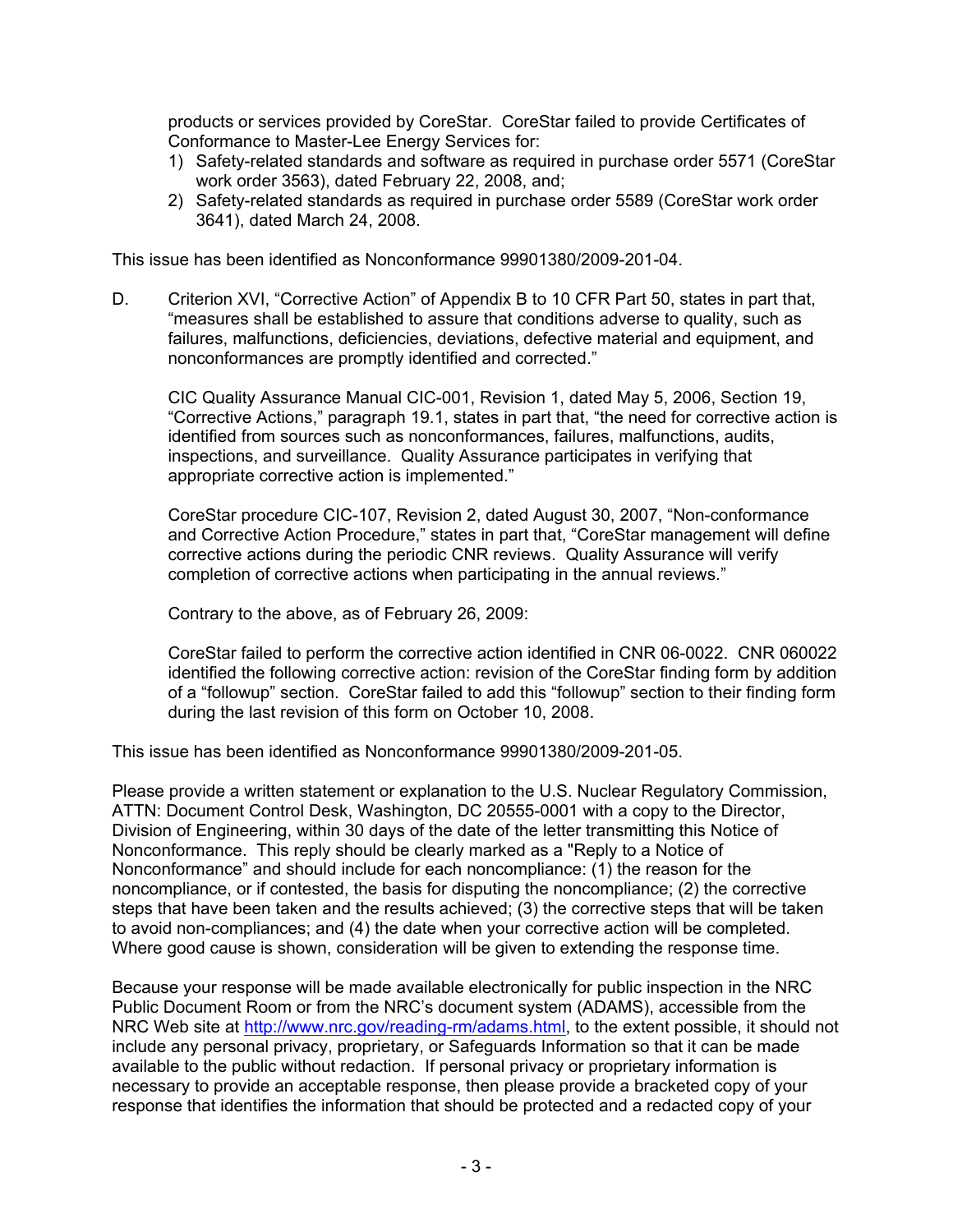products or services provided by CoreStar. CoreStar failed to provide Certificates of Conformance to Master-Lee Energy Services for:

- 1) Safety-related standards and software as required in purchase order 5571 (CoreStar work order 3563), dated February 22, 2008, and;
- 2) Safety-related standards as required in purchase order 5589 (CoreStar work order 3641), dated March 24, 2008.

This issue has been identified as Nonconformance 99901380/2009-201-04.

D. Criterion XVI, "Corrective Action" of Appendix B to 10 CFR Part 50, states in part that, "measures shall be established to assure that conditions adverse to quality, such as failures, malfunctions, deficiencies, deviations, defective material and equipment, and nonconformances are promptly identified and corrected."

CIC Quality Assurance Manual CIC-001, Revision 1, dated May 5, 2006, Section 19, "Corrective Actions," paragraph 19.1, states in part that, "the need for corrective action is identified from sources such as nonconformances, failures, malfunctions, audits, inspections, and surveillance. Quality Assurance participates in verifying that appropriate corrective action is implemented."

CoreStar procedure CIC-107, Revision 2, dated August 30, 2007, "Non-conformance and Corrective Action Procedure," states in part that, "CoreStar management will define corrective actions during the periodic CNR reviews. Quality Assurance will verify completion of corrective actions when participating in the annual reviews."

Contrary to the above, as of February 26, 2009:

CoreStar failed to perform the corrective action identified in CNR 06-0022. CNR 060022 identified the following corrective action: revision of the CoreStar finding form by addition of a "followup" section. CoreStar failed to add this "followup" section to their finding form during the last revision of this form on October 10, 2008.

This issue has been identified as Nonconformance 99901380/2009-201-05.

Please provide a written statement or explanation to the U.S. Nuclear Regulatory Commission, ATTN: Document Control Desk, Washington, DC 20555-0001 with a copy to the Director, Division of Engineering, within 30 days of the date of the letter transmitting this Notice of Nonconformance. This reply should be clearly marked as a "Reply to a Notice of Nonconformance" and should include for each noncompliance: (1) the reason for the noncompliance, or if contested, the basis for disputing the noncompliance; (2) the corrective steps that have been taken and the results achieved; (3) the corrective steps that will be taken to avoid non-compliances; and (4) the date when your corrective action will be completed. Where good cause is shown, consideration will be given to extending the response time.

Because your response will be made available electronically for public inspection in the NRC Public Document Room or from the NRC's document system (ADAMS), accessible from the NRC Web site at <http://www.nrc.gov/reading-rm/adams.html>, to the extent possible, it should not include any personal privacy, proprietary, or Safeguards Information so that it can be made available to the public without redaction. If personal privacy or proprietary information is necessary to provide an acceptable response, then please provide a bracketed copy of your response that identifies the information that should be protected and a redacted copy of your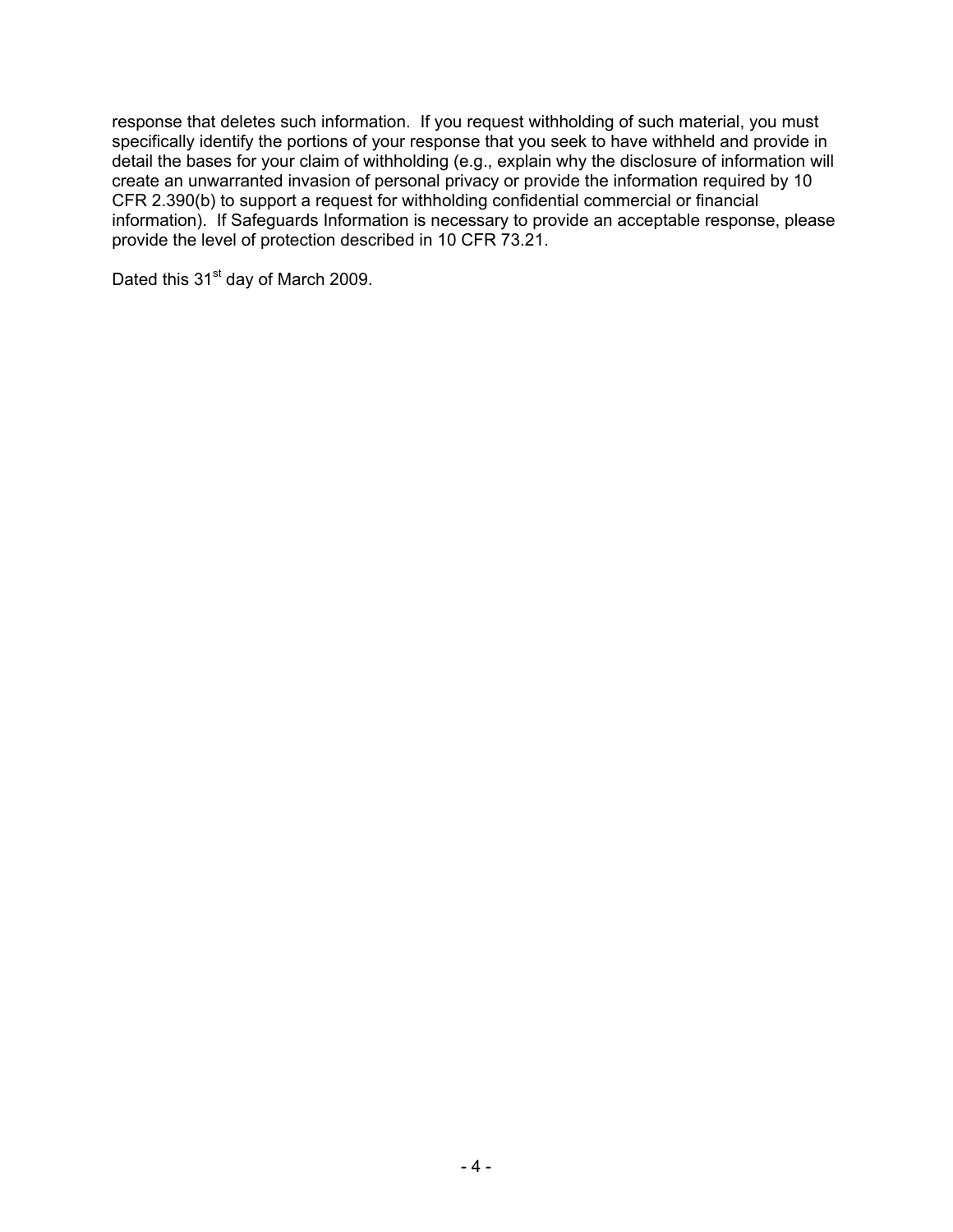response that deletes such information. If you request withholding of such material, you must specifically identify the portions of your response that you seek to have withheld and provide in detail the bases for your claim of withholding (e.g., explain why the disclosure of information will create an unwarranted invasion of personal privacy or provide the information required by 10 CFR 2.390(b) to support a request for withholding confidential commercial or financial information). If Safeguards Information is necessary to provide an acceptable response, please provide the level of protection described in 10 CFR 73.21.

Dated this 31<sup>st</sup> day of March 2009.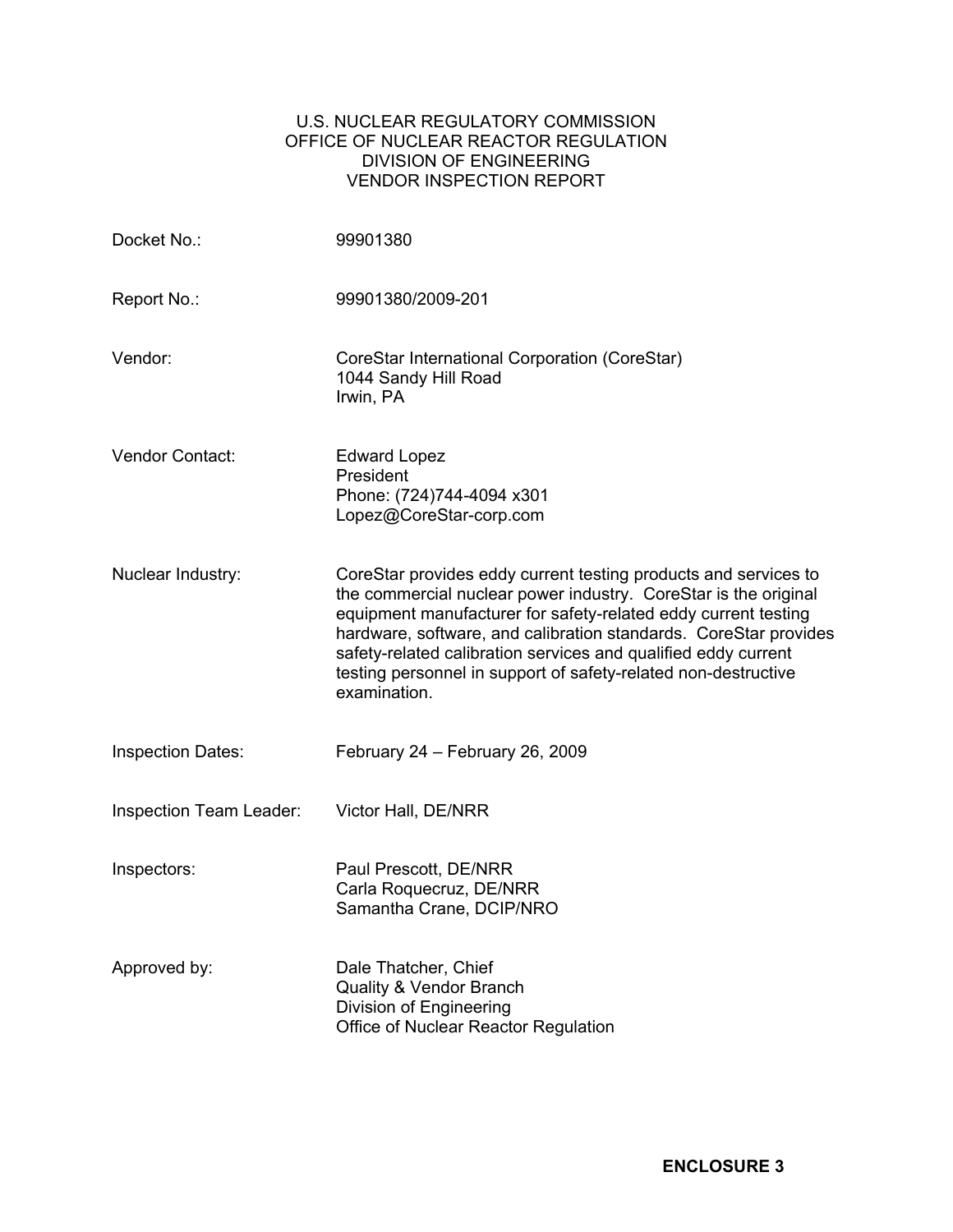## U.S. NUCLEAR REGULATORY COMMISSION OFFICE OF NUCLEAR REACTOR REGULATION DIVISION OF ENGINEERING VENDOR INSPECTION REPORT

| Docket No.:              | 99901380                                                                                                                                                                                                                                                                                                                                                                                                                     |
|--------------------------|------------------------------------------------------------------------------------------------------------------------------------------------------------------------------------------------------------------------------------------------------------------------------------------------------------------------------------------------------------------------------------------------------------------------------|
| Report No.:              | 99901380/2009-201                                                                                                                                                                                                                                                                                                                                                                                                            |
| Vendor:                  | CoreStar International Corporation (CoreStar)<br>1044 Sandy Hill Road<br>Irwin, PA                                                                                                                                                                                                                                                                                                                                           |
| Vendor Contact:          | <b>Edward Lopez</b><br>President<br>Phone: (724)744-4094 x301<br>Lopez@CoreStar-corp.com                                                                                                                                                                                                                                                                                                                                     |
| Nuclear Industry:        | CoreStar provides eddy current testing products and services to<br>the commercial nuclear power industry. CoreStar is the original<br>equipment manufacturer for safety-related eddy current testing<br>hardware, software, and calibration standards. CoreStar provides<br>safety-related calibration services and qualified eddy current<br>testing personnel in support of safety-related non-destructive<br>examination. |
| <b>Inspection Dates:</b> | February 24 - February 26, 2009                                                                                                                                                                                                                                                                                                                                                                                              |
| Inspection Team Leader:  | Victor Hall, DE/NRR                                                                                                                                                                                                                                                                                                                                                                                                          |
| Inspectors:              | Paul Prescott, DE/NRR<br>Carla Roquecruz, DE/NRR<br>Samantha Crane, DCIP/NRO                                                                                                                                                                                                                                                                                                                                                 |
| Approved by:             | Dale Thatcher, Chief<br><b>Quality &amp; Vendor Branch</b><br>Division of Engineering<br>Office of Nuclear Reactor Regulation                                                                                                                                                                                                                                                                                                |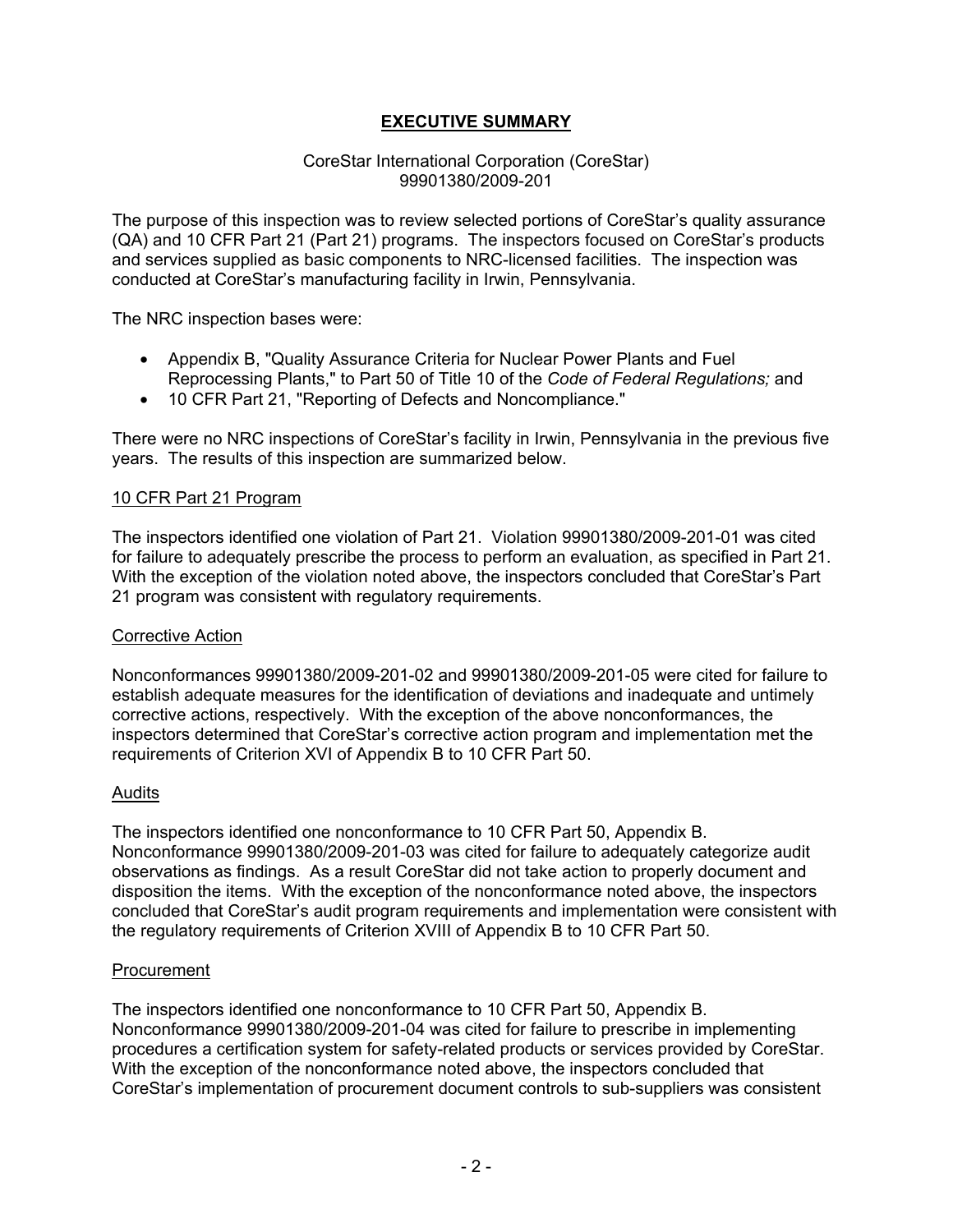# **EXECUTIVE SUMMARY**

#### CoreStar International Corporation (CoreStar) 99901380/2009-201

The purpose of this inspection was to review selected portions of CoreStar's quality assurance (QA) and 10 CFR Part 21 (Part 21) programs. The inspectors focused on CoreStar's products and services supplied as basic components to NRC-licensed facilities. The inspection was conducted at CoreStar's manufacturing facility in Irwin, Pennsylvania.

The NRC inspection bases were:

- Appendix B, "Quality Assurance Criteria for Nuclear Power Plants and Fuel Reprocessing Plants," to Part 50 of Title 10 of the *Code of Federal Regulations;* and
- 10 CFR Part 21, "Reporting of Defects and Noncompliance."

There were no NRC inspections of CoreStar's facility in Irwin, Pennsylvania in the previous five years. The results of this inspection are summarized below.

#### 10 CFR Part 21 Program

The inspectors identified one violation of Part 21. Violation 99901380/2009-201-01 was cited for failure to adequately prescribe the process to perform an evaluation, as specified in Part 21. With the exception of the violation noted above, the inspectors concluded that CoreStar's Part 21 program was consistent with regulatory requirements.

#### Corrective Action

Nonconformances 99901380/2009-201-02 and 99901380/2009-201-05 were cited for failure to establish adequate measures for the identification of deviations and inadequate and untimely corrective actions, respectively. With the exception of the above nonconformances, the inspectors determined that CoreStar's corrective action program and implementation met the requirements of Criterion XVI of Appendix B to 10 CFR Part 50.

#### Audits

The inspectors identified one nonconformance to 10 CFR Part 50, Appendix B. Nonconformance 99901380/2009-201-03 was cited for failure to adequately categorize audit observations as findings. As a result CoreStar did not take action to properly document and disposition the items. With the exception of the nonconformance noted above, the inspectors concluded that CoreStar's audit program requirements and implementation were consistent with the regulatory requirements of Criterion XVIII of Appendix B to 10 CFR Part 50.

#### Procurement

The inspectors identified one nonconformance to 10 CFR Part 50, Appendix B. Nonconformance 99901380/2009-201-04 was cited for failure to prescribe in implementing procedures a certification system for safety-related products or services provided by CoreStar. With the exception of the nonconformance noted above, the inspectors concluded that CoreStar's implementation of procurement document controls to sub-suppliers was consistent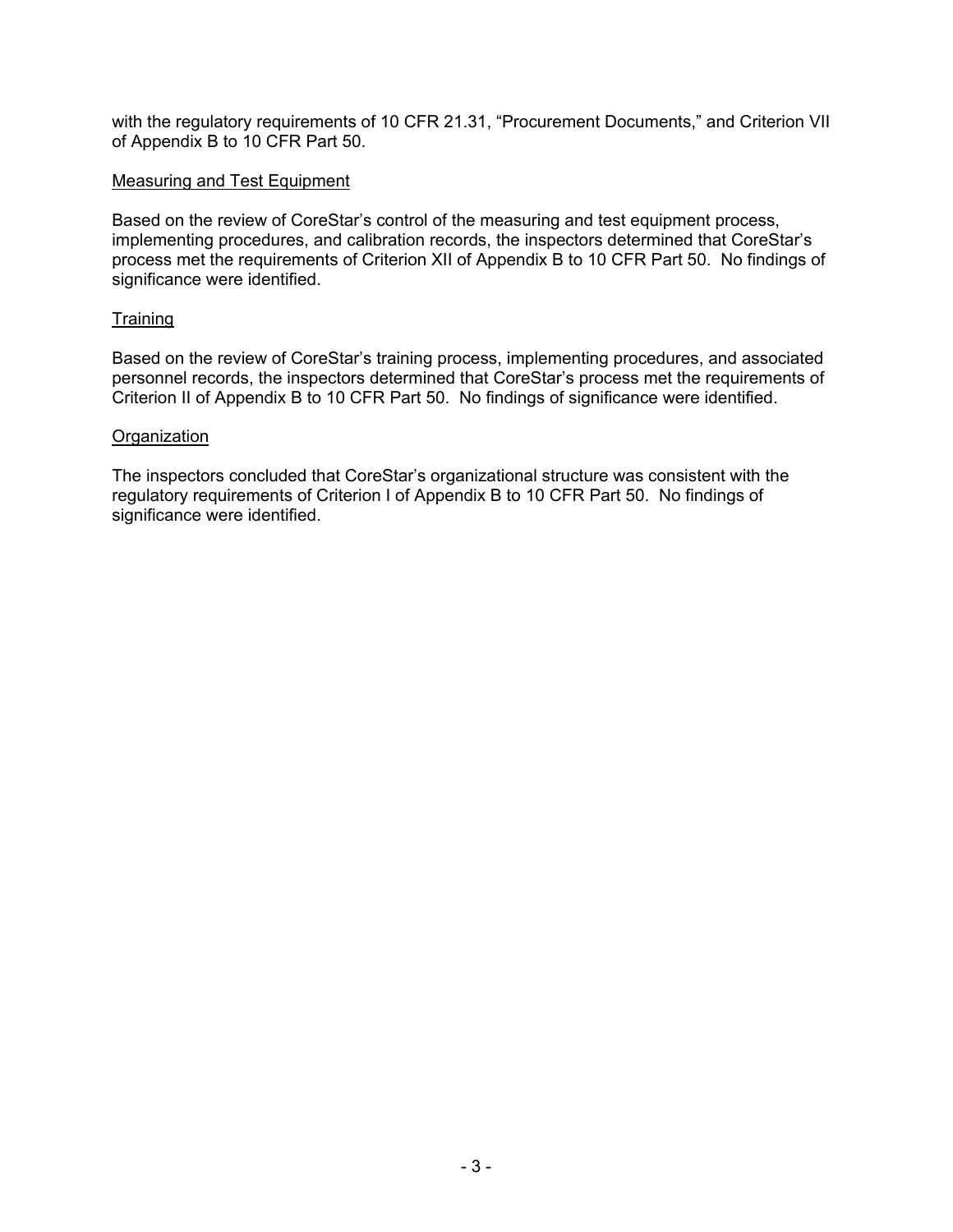with the regulatory requirements of 10 CFR 21.31, "Procurement Documents," and Criterion VII of Appendix B to 10 CFR Part 50.

#### Measuring and Test Equipment

Based on the review of CoreStar's control of the measuring and test equipment process, implementing procedures, and calibration records, the inspectors determined that CoreStar's process met the requirements of Criterion XII of Appendix B to 10 CFR Part 50. No findings of significance were identified.

## **Training**

Based on the review of CoreStar's training process, implementing procedures, and associated personnel records, the inspectors determined that CoreStar's process met the requirements of Criterion II of Appendix B to 10 CFR Part 50. No findings of significance were identified.

#### **Organization**

The inspectors concluded that CoreStar's organizational structure was consistent with the regulatory requirements of Criterion I of Appendix B to 10 CFR Part 50. No findings of significance were identified.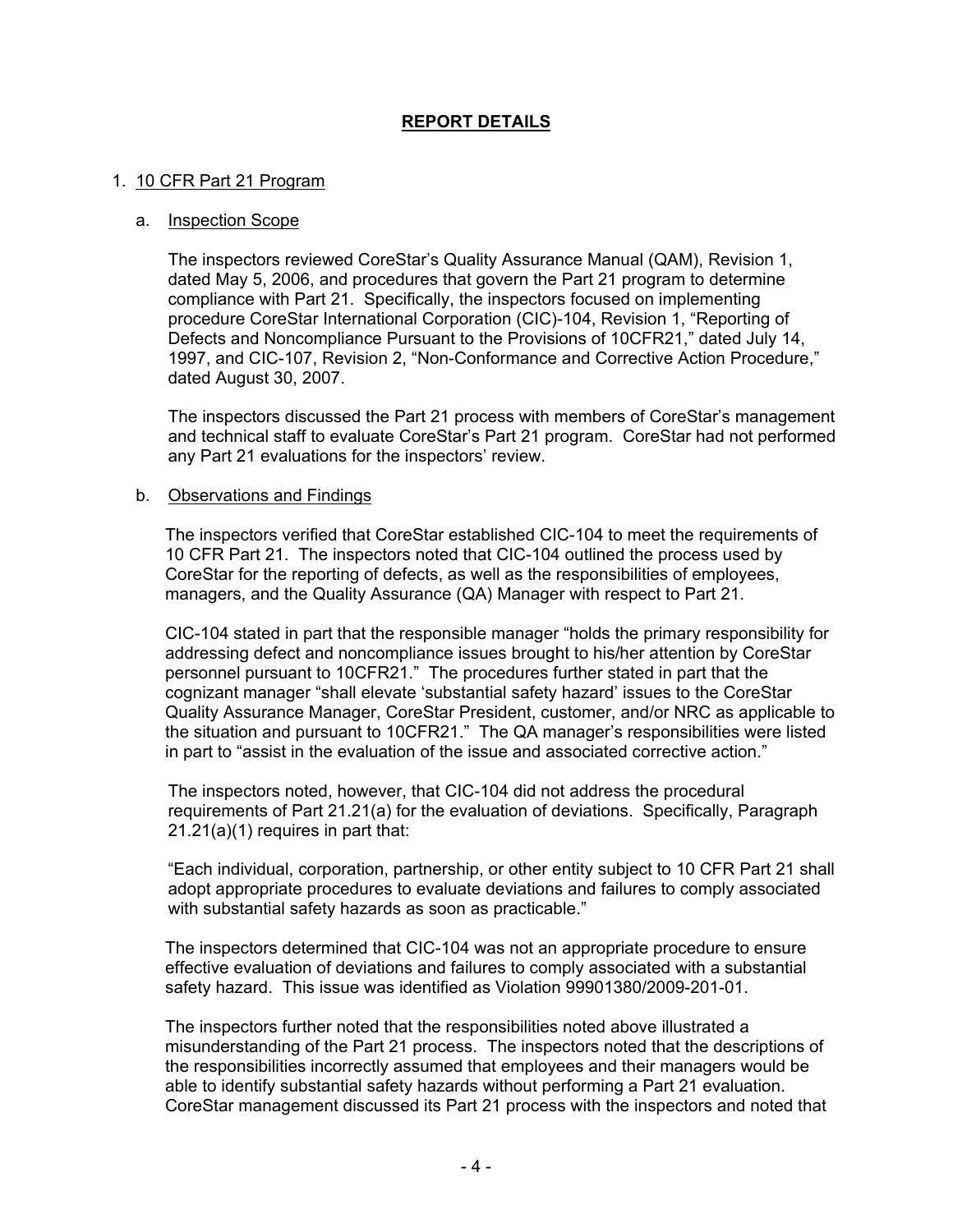# **REPORT DETAILS**

#### 1. 10 CFR Part 21 Program

#### a. Inspection Scope

The inspectors reviewed CoreStar's Quality Assurance Manual (QAM), Revision 1, dated May 5, 2006, and procedures that govern the Part 21 program to determine compliance with Part 21. Specifically, the inspectors focused on implementing procedure CoreStar International Corporation (CIC)-104, Revision 1, "Reporting of Defects and Noncompliance Pursuant to the Provisions of 10CFR21," dated July 14, 1997, and CIC-107, Revision 2, "Non-Conformance and Corrective Action Procedure," dated August 30, 2007.

The inspectors discussed the Part 21 process with members of CoreStar's management and technical staff to evaluate CoreStar's Part 21 program. CoreStar had not performed any Part 21 evaluations for the inspectors' review.

#### b. Observations and Findings

The inspectors verified that CoreStar established CIC-104 to meet the requirements of 10 CFR Part 21. The inspectors noted that CIC-104 outlined the process used by CoreStar for the reporting of defects, as well as the responsibilities of employees, managers, and the Quality Assurance (QA) Manager with respect to Part 21.

CIC-104 stated in part that the responsible manager "holds the primary responsibility for addressing defect and noncompliance issues brought to his/her attention by CoreStar personnel pursuant to 10CFR21." The procedures further stated in part that the cognizant manager "shall elevate 'substantial safety hazard' issues to the CoreStar Quality Assurance Manager, CoreStar President, customer, and/or NRC as applicable to the situation and pursuant to 10CFR21." The QA manager's responsibilities were listed in part to "assist in the evaluation of the issue and associated corrective action."

The inspectors noted, however, that CIC-104 did not address the procedural requirements of Part 21.21(a) for the evaluation of deviations. Specifically, Paragraph 21.21(a)(1) requires in part that:

"Each individual, corporation, partnership, or other entity subject to 10 CFR Part 21 shall adopt appropriate procedures to evaluate deviations and failures to comply associated with substantial safety hazards as soon as practicable."

The inspectors determined that CIC-104 was not an appropriate procedure to ensure effective evaluation of deviations and failures to comply associated with a substantial safety hazard. This issue was identified as Violation 99901380/2009-201-01.

The inspectors further noted that the responsibilities noted above illustrated a misunderstanding of the Part 21 process. The inspectors noted that the descriptions of the responsibilities incorrectly assumed that employees and their managers would be able to identify substantial safety hazards without performing a Part 21 evaluation. CoreStar management discussed its Part 21 process with the inspectors and noted that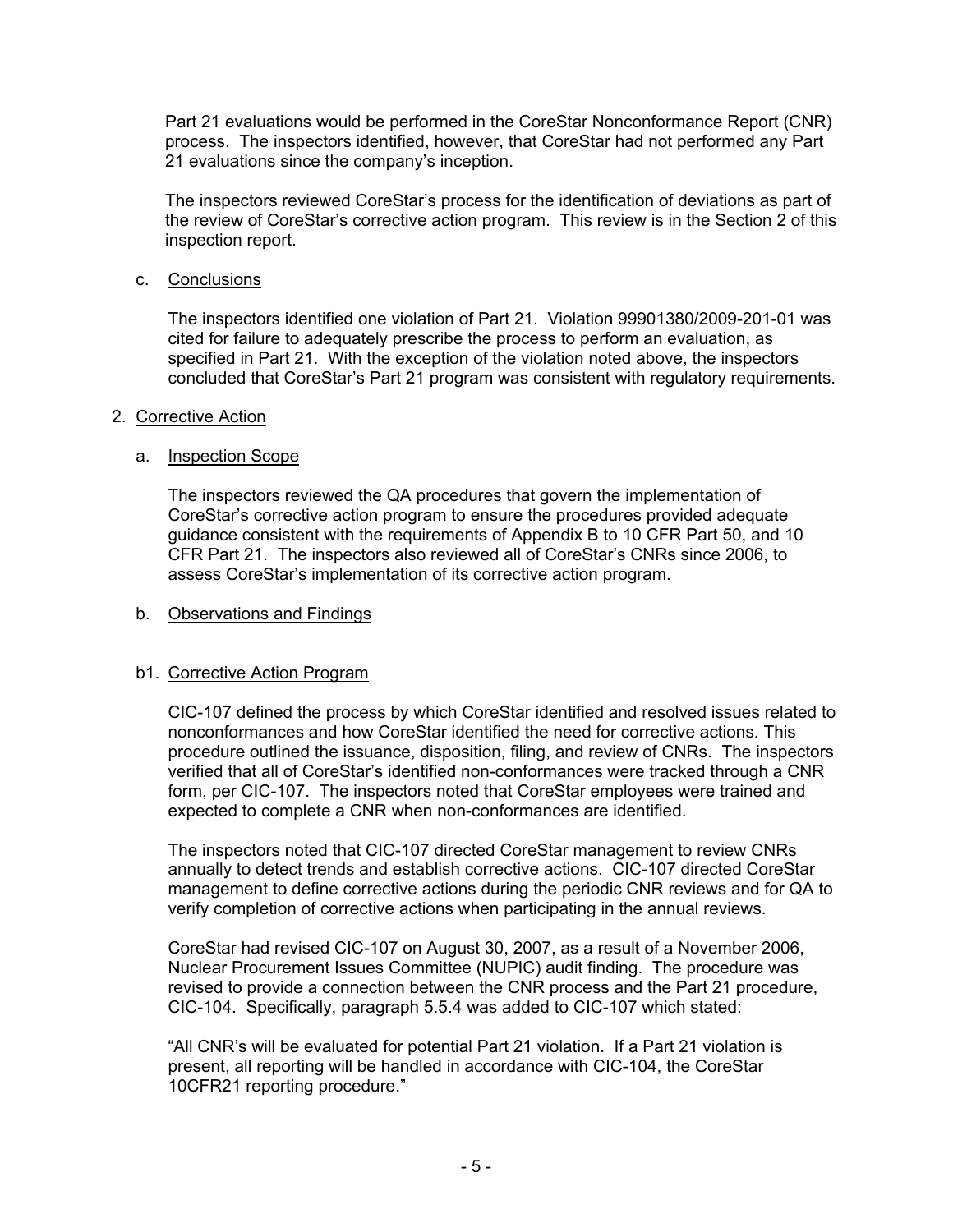Part 21 evaluations would be performed in the CoreStar Nonconformance Report (CNR) process. The inspectors identified, however, that CoreStar had not performed any Part 21 evaluations since the company's inception.

The inspectors reviewed CoreStar's process for the identification of deviations as part of the review of CoreStar's corrective action program. This review is in the Section 2 of this inspection report.

c. Conclusions

The inspectors identified one violation of Part 21. Violation 99901380/2009-201-01 was cited for failure to adequately prescribe the process to perform an evaluation, as specified in Part 21. With the exception of the violation noted above, the inspectors concluded that CoreStar's Part 21 program was consistent with regulatory requirements.

#### 2. Corrective Action

#### a. Inspection Scope

The inspectors reviewed the QA procedures that govern the implementation of CoreStar's corrective action program to ensure the procedures provided adequate guidance consistent with the requirements of Appendix B to 10 CFR Part 50, and 10 CFR Part 21. The inspectors also reviewed all of CoreStar's CNRs since 2006, to assess CoreStar's implementation of its corrective action program.

#### b. Observations and Findings

## b1. Corrective Action Program

CIC-107 defined the process by which CoreStar identified and resolved issues related to nonconformances and how CoreStar identified the need for corrective actions. This procedure outlined the issuance, disposition, filing, and review of CNRs. The inspectors verified that all of CoreStar's identified non-conformances were tracked through a CNR form, per CIC-107. The inspectors noted that CoreStar employees were trained and expected to complete a CNR when non-conformances are identified.

The inspectors noted that CIC-107 directed CoreStar management to review CNRs annually to detect trends and establish corrective actions. CIC-107 directed CoreStar management to define corrective actions during the periodic CNR reviews and for QA to verify completion of corrective actions when participating in the annual reviews.

CoreStar had revised CIC-107 on August 30, 2007, as a result of a November 2006, Nuclear Procurement Issues Committee (NUPIC) audit finding. The procedure was revised to provide a connection between the CNR process and the Part 21 procedure, CIC-104. Specifically, paragraph 5.5.4 was added to CIC-107 which stated:

"All CNR's will be evaluated for potential Part 21 violation. If a Part 21 violation is present, all reporting will be handled in accordance with CIC-104, the CoreStar 10CFR21 reporting procedure."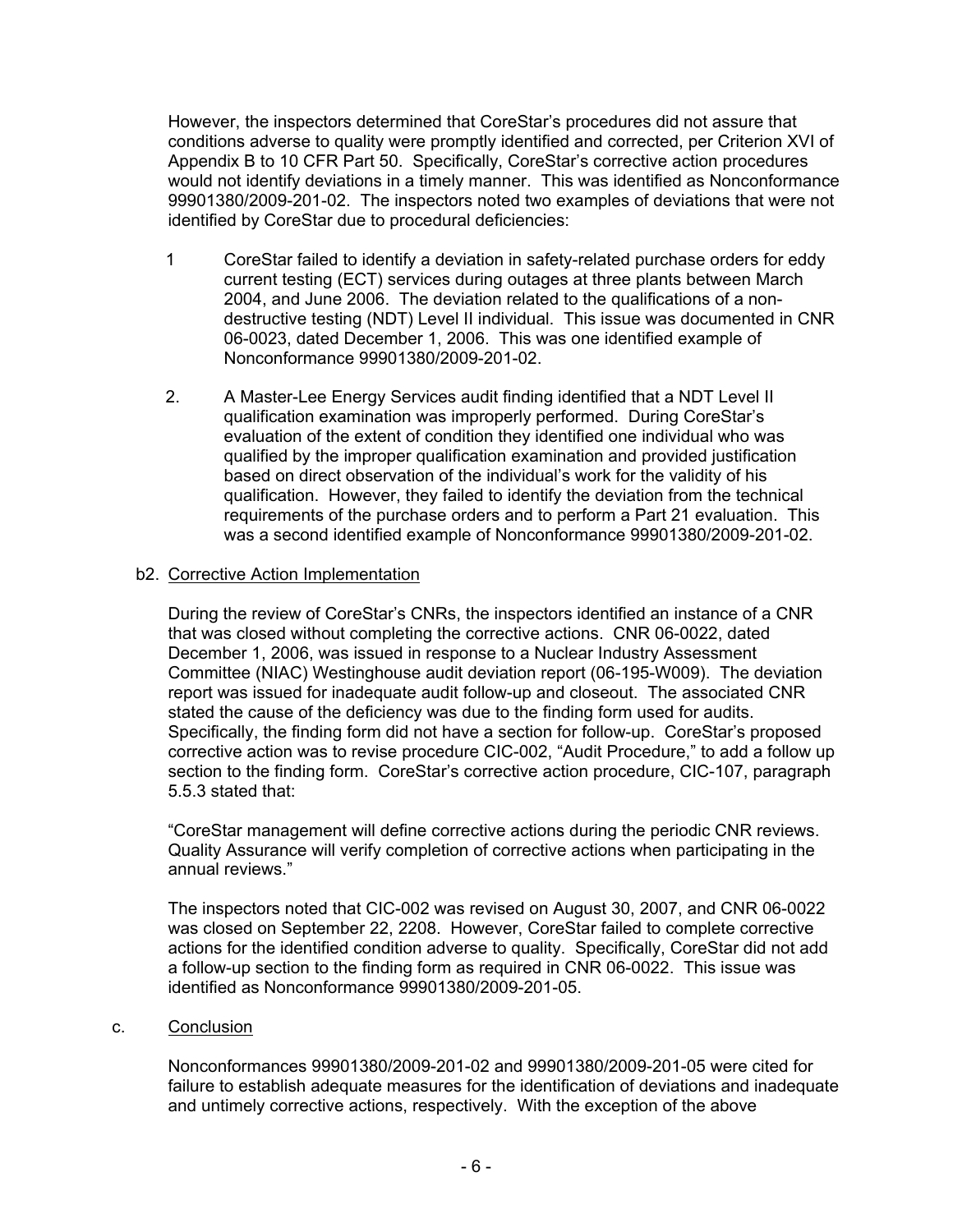However, the inspectors determined that CoreStar's procedures did not assure that conditions adverse to quality were promptly identified and corrected, per Criterion XVI of Appendix B to 10 CFR Part 50. Specifically, CoreStar's corrective action procedures would not identify deviations in a timely manner. This was identified as Nonconformance 99901380/2009-201-02. The inspectors noted two examples of deviations that were not identified by CoreStar due to procedural deficiencies:

- 1 CoreStar failed to identify a deviation in safety-related purchase orders for eddy current testing (ECT) services during outages at three plants between March 2004, and June 2006. The deviation related to the qualifications of a nondestructive testing (NDT) Level II individual. This issue was documented in CNR 06-0023, dated December 1, 2006. This was one identified example of Nonconformance 99901380/2009-201-02.
- 2. A Master-Lee Energy Services audit finding identified that a NDT Level II qualification examination was improperly performed. During CoreStar's evaluation of the extent of condition they identified one individual who was qualified by the improper qualification examination and provided justification based on direct observation of the individual's work for the validity of his qualification. However, they failed to identify the deviation from the technical requirements of the purchase orders and to perform a Part 21 evaluation. This was a second identified example of Nonconformance 99901380/2009-201-02.

## b2. Corrective Action Implementation

 During the review of CoreStar's CNRs, the inspectors identified an instance of a CNR that was closed without completing the corrective actions. CNR 06-0022, dated December 1, 2006, was issued in response to a Nuclear Industry Assessment Committee (NIAC) Westinghouse audit deviation report (06-195-W009). The deviation report was issued for inadequate audit follow-up and closeout. The associated CNR stated the cause of the deficiency was due to the finding form used for audits. Specifically, the finding form did not have a section for follow-up. CoreStar's proposed corrective action was to revise procedure CIC-002, "Audit Procedure," to add a follow up section to the finding form. CoreStar's corrective action procedure, CIC-107, paragraph 5.5.3 stated that:

"CoreStar management will define corrective actions during the periodic CNR reviews. Quality Assurance will verify completion of corrective actions when participating in the annual reviews."

The inspectors noted that CIC-002 was revised on August 30, 2007, and CNR 06-0022 was closed on September 22, 2208. However, CoreStar failed to complete corrective actions for the identified condition adverse to quality. Specifically, CoreStar did not add a follow-up section to the finding form as required in CNR 06-0022. This issue was identified as Nonconformance 99901380/2009-201-05.

## c. Conclusion

Nonconformances 99901380/2009-201-02 and 99901380/2009-201-05 were cited for failure to establish adequate measures for the identification of deviations and inadequate and untimely corrective actions, respectively. With the exception of the above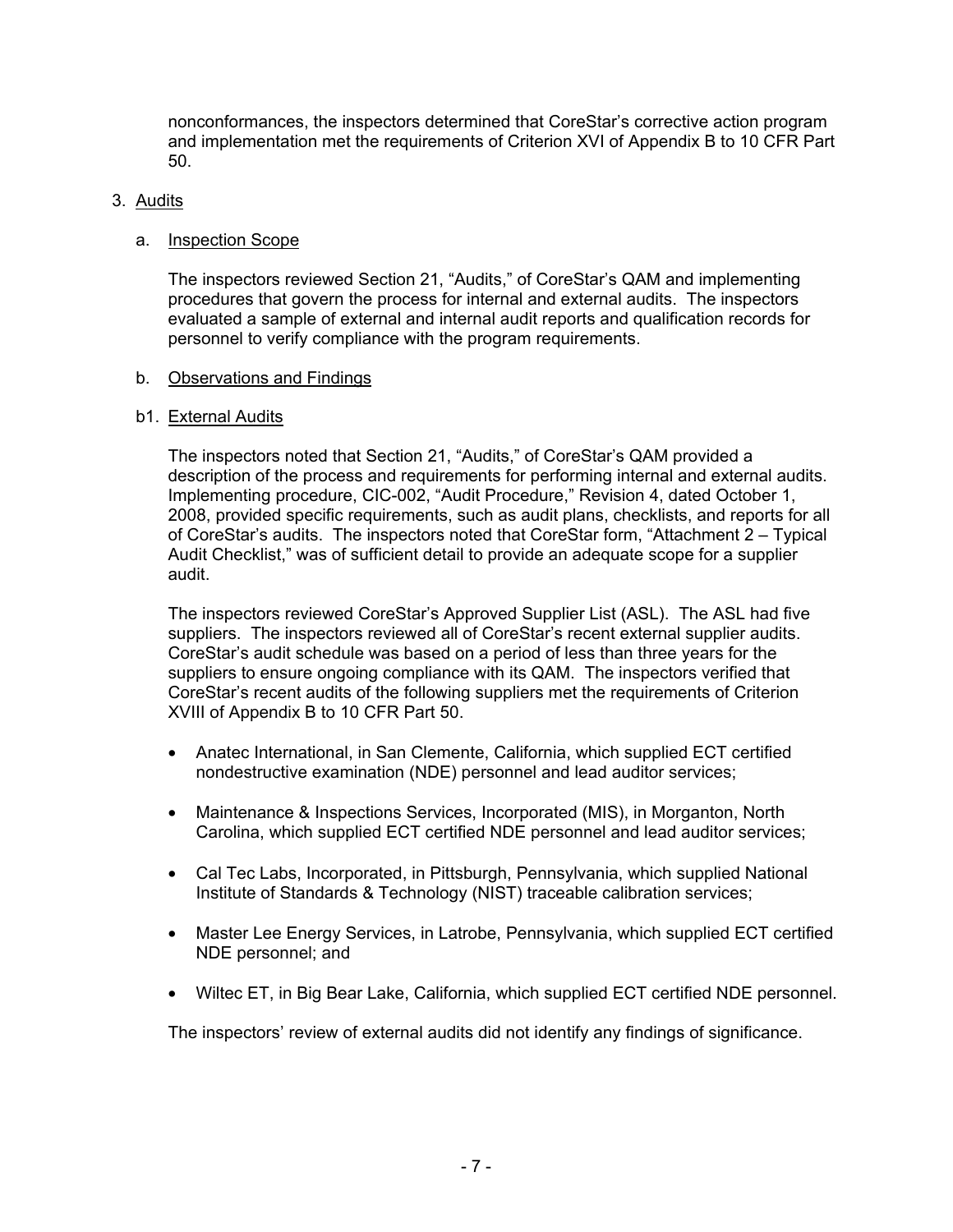nonconformances, the inspectors determined that CoreStar's corrective action program and implementation met the requirements of Criterion XVI of Appendix B to 10 CFR Part 50.

## 3. Audits

#### a. Inspection Scope

The inspectors reviewed Section 21, "Audits," of CoreStar's QAM and implementing procedures that govern the process for internal and external audits. The inspectors evaluated a sample of external and internal audit reports and qualification records for personnel to verify compliance with the program requirements.

#### b. Observations and Findings

#### b1. External Audits

The inspectors noted that Section 21, "Audits," of CoreStar's QAM provided a description of the process and requirements for performing internal and external audits. Implementing procedure, CIC-002, "Audit Procedure," Revision 4, dated October 1, 2008, provided specific requirements, such as audit plans, checklists, and reports for all of CoreStar's audits. The inspectors noted that CoreStar form, "Attachment 2 – Typical Audit Checklist," was of sufficient detail to provide an adequate scope for a supplier audit.

The inspectors reviewed CoreStar's Approved Supplier List (ASL). The ASL had five suppliers. The inspectors reviewed all of CoreStar's recent external supplier audits. CoreStar's audit schedule was based on a period of less than three years for the suppliers to ensure ongoing compliance with its QAM. The inspectors verified that CoreStar's recent audits of the following suppliers met the requirements of Criterion XVIII of Appendix B to 10 CFR Part 50.

- Anatec International, in San Clemente, California, which supplied ECT certified nondestructive examination (NDE) personnel and lead auditor services;
- Maintenance & Inspections Services, Incorporated (MIS), in Morganton, North Carolina, which supplied ECT certified NDE personnel and lead auditor services;
- Cal Tec Labs, Incorporated, in Pittsburgh, Pennsylvania, which supplied National Institute of Standards & Technology (NIST) traceable calibration services;
- Master Lee Energy Services, in Latrobe, Pennsylvania, which supplied ECT certified NDE personnel; and
- Wiltec ET, in Big Bear Lake, California, which supplied ECT certified NDE personnel.

The inspectors' review of external audits did not identify any findings of significance.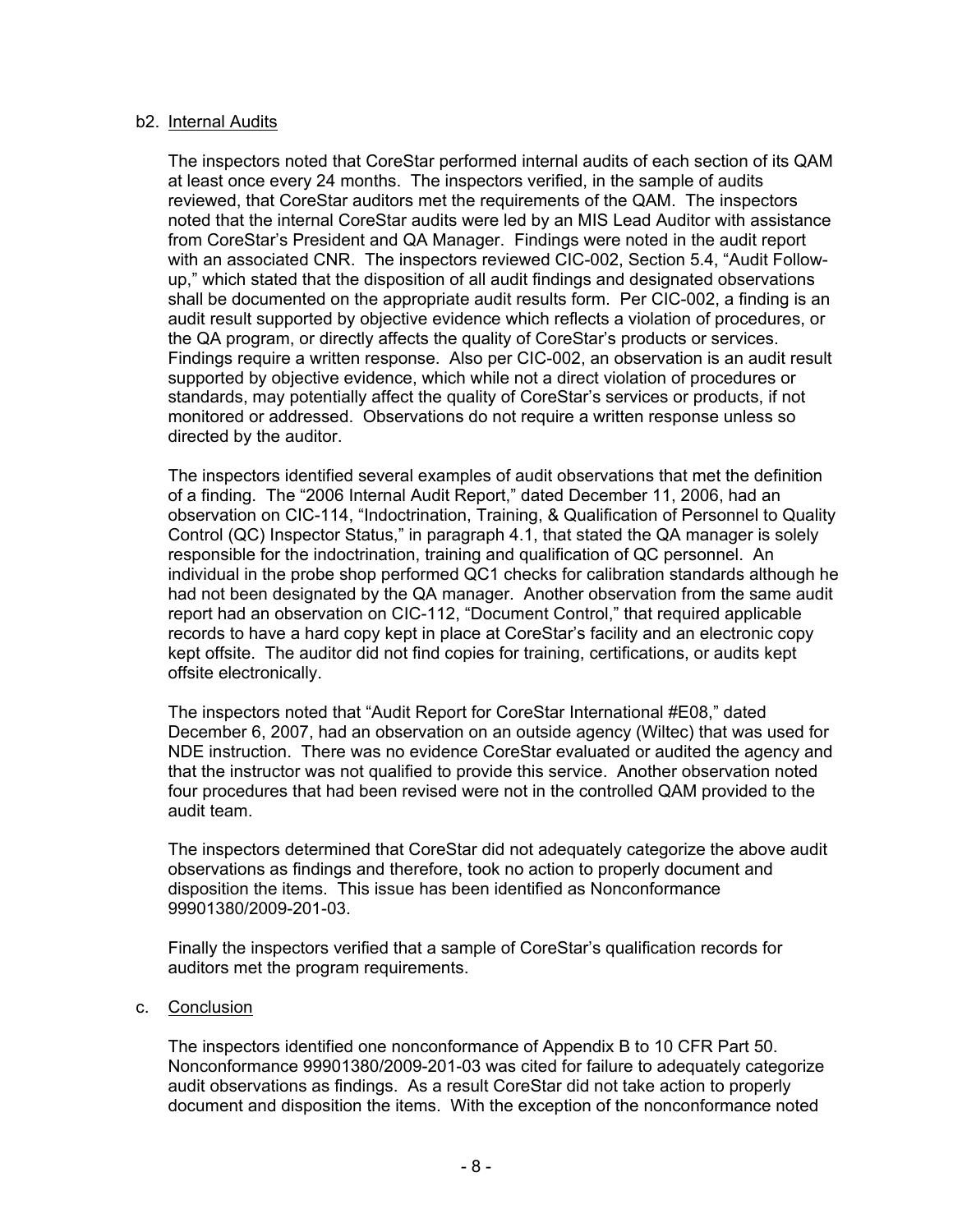#### b2. Internal Audits

The inspectors noted that CoreStar performed internal audits of each section of its QAM at least once every 24 months. The inspectors verified, in the sample of audits reviewed, that CoreStar auditors met the requirements of the QAM. The inspectors noted that the internal CoreStar audits were led by an MIS Lead Auditor with assistance from CoreStar's President and QA Manager. Findings were noted in the audit report with an associated CNR. The inspectors reviewed CIC-002, Section 5.4, "Audit Followup," which stated that the disposition of all audit findings and designated observations shall be documented on the appropriate audit results form. Per CIC-002, a finding is an audit result supported by objective evidence which reflects a violation of procedures, or the QA program, or directly affects the quality of CoreStar's products or services. Findings require a written response. Also per CIC-002, an observation is an audit result supported by objective evidence, which while not a direct violation of procedures or standards, may potentially affect the quality of CoreStar's services or products, if not monitored or addressed. Observations do not require a written response unless so directed by the auditor.

The inspectors identified several examples of audit observations that met the definition of a finding. The "2006 Internal Audit Report," dated December 11, 2006, had an observation on CIC-114, "Indoctrination, Training, & Qualification of Personnel to Quality Control (QC) Inspector Status," in paragraph 4.1, that stated the QA manager is solely responsible for the indoctrination, training and qualification of QC personnel. An individual in the probe shop performed QC1 checks for calibration standards although he had not been designated by the QA manager. Another observation from the same audit report had an observation on CIC-112, "Document Control," that required applicable records to have a hard copy kept in place at CoreStar's facility and an electronic copy kept offsite. The auditor did not find copies for training, certifications, or audits kept offsite electronically.

The inspectors noted that "Audit Report for CoreStar International #E08," dated December 6, 2007, had an observation on an outside agency (Wiltec) that was used for NDE instruction. There was no evidence CoreStar evaluated or audited the agency and that the instructor was not qualified to provide this service. Another observation noted four procedures that had been revised were not in the controlled QAM provided to the audit team.

The inspectors determined that CoreStar did not adequately categorize the above audit observations as findings and therefore, took no action to properly document and disposition the items. This issue has been identified as Nonconformance 99901380/2009-201-03.

Finally the inspectors verified that a sample of CoreStar's qualification records for auditors met the program requirements.

#### c. Conclusion

The inspectors identified one nonconformance of Appendix B to 10 CFR Part 50. Nonconformance 99901380/2009-201-03 was cited for failure to adequately categorize audit observations as findings. As a result CoreStar did not take action to properly document and disposition the items. With the exception of the nonconformance noted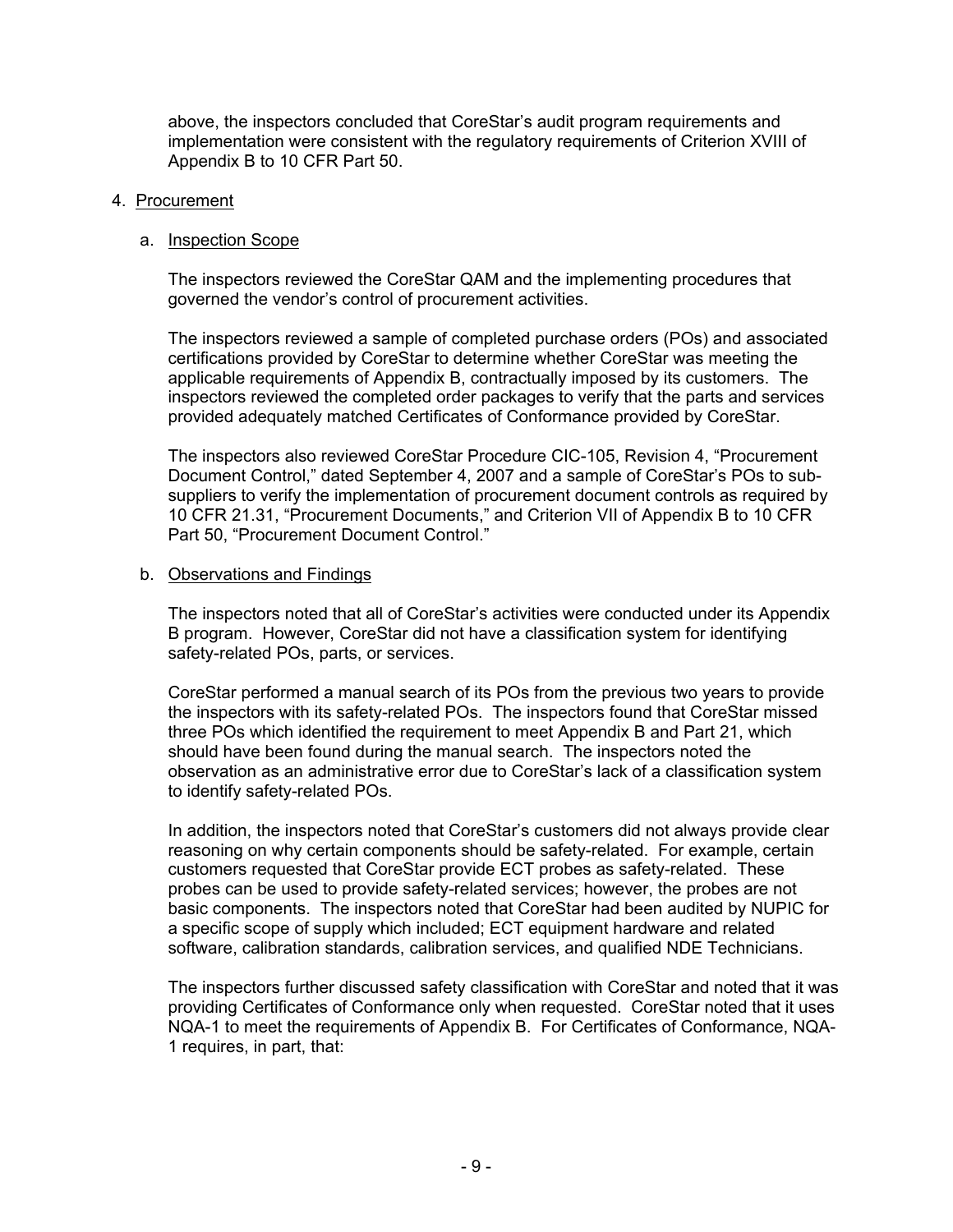above, the inspectors concluded that CoreStar's audit program requirements and implementation were consistent with the regulatory requirements of Criterion XVIII of Appendix B to 10 CFR Part 50.

#### 4. Procurement

#### a. Inspection Scope

The inspectors reviewed the CoreStar QAM and the implementing procedures that governed the vendor's control of procurement activities.

The inspectors reviewed a sample of completed purchase orders (POs) and associated certifications provided by CoreStar to determine whether CoreStar was meeting the applicable requirements of Appendix B, contractually imposed by its customers. The inspectors reviewed the completed order packages to verify that the parts and services provided adequately matched Certificates of Conformance provided by CoreStar.

The inspectors also reviewed CoreStar Procedure CIC-105, Revision 4, "Procurement Document Control," dated September 4, 2007 and a sample of CoreStar's POs to subsuppliers to verify the implementation of procurement document controls as required by 10 CFR 21.31, "Procurement Documents," and Criterion VII of Appendix B to 10 CFR Part 50, "Procurement Document Control."

#### b. Observations and Findings

The inspectors noted that all of CoreStar's activities were conducted under its Appendix B program. However, CoreStar did not have a classification system for identifying safety-related POs, parts, or services.

CoreStar performed a manual search of its POs from the previous two years to provide the inspectors with its safety-related POs. The inspectors found that CoreStar missed three POs which identified the requirement to meet Appendix B and Part 21, which should have been found during the manual search. The inspectors noted the observation as an administrative error due to CoreStar's lack of a classification system to identify safety-related POs.

In addition, the inspectors noted that CoreStar's customers did not always provide clear reasoning on why certain components should be safety-related. For example, certain customers requested that CoreStar provide ECT probes as safety-related. These probes can be used to provide safety-related services; however, the probes are not basic components. The inspectors noted that CoreStar had been audited by NUPIC for a specific scope of supply which included; ECT equipment hardware and related software, calibration standards, calibration services, and qualified NDE Technicians.

The inspectors further discussed safety classification with CoreStar and noted that it was providing Certificates of Conformance only when requested. CoreStar noted that it uses NQA-1 to meet the requirements of Appendix B. For Certificates of Conformance, NQA-1 requires, in part, that: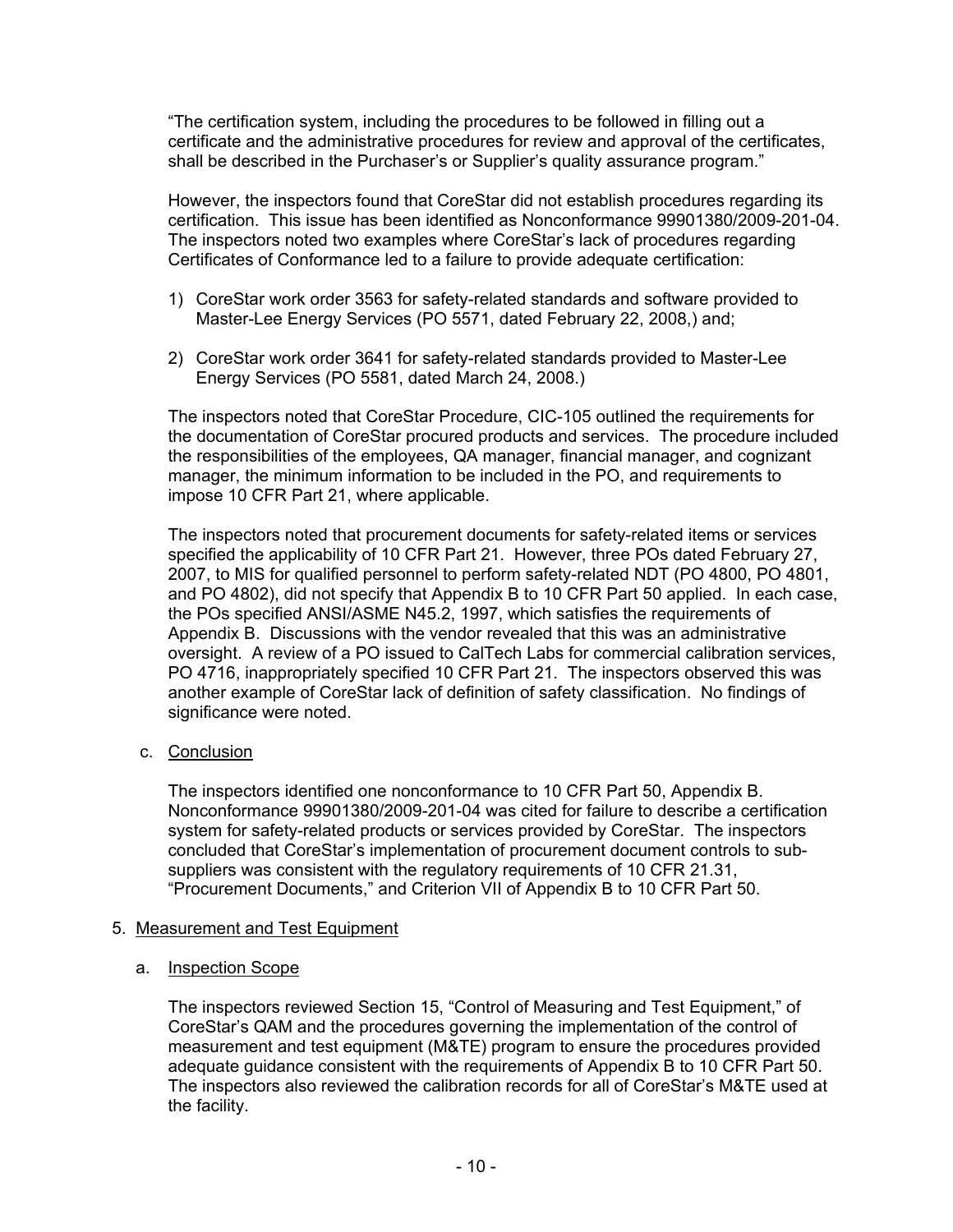"The certification system, including the procedures to be followed in filling out a certificate and the administrative procedures for review and approval of the certificates, shall be described in the Purchaser's or Supplier's quality assurance program."

However, the inspectors found that CoreStar did not establish procedures regarding its certification. This issue has been identified as Nonconformance 99901380/2009-201-04. The inspectors noted two examples where CoreStar's lack of procedures regarding Certificates of Conformance led to a failure to provide adequate certification:

- 1) CoreStar work order 3563 for safety-related standards and software provided to Master-Lee Energy Services (PO 5571, dated February 22, 2008,) and;
- 2) CoreStar work order 3641 for safety-related standards provided to Master-Lee Energy Services (PO 5581, dated March 24, 2008.)

The inspectors noted that CoreStar Procedure, CIC-105 outlined the requirements for the documentation of CoreStar procured products and services. The procedure included the responsibilities of the employees, QA manager, financial manager, and cognizant manager, the minimum information to be included in the PO, and requirements to impose 10 CFR Part 21, where applicable.

The inspectors noted that procurement documents for safety-related items or services specified the applicability of 10 CFR Part 21. However, three POs dated February 27, 2007, to MIS for qualified personnel to perform safety-related NDT (PO 4800, PO 4801, and PO 4802), did not specify that Appendix B to 10 CFR Part 50 applied. In each case, the POs specified ANSI/ASME N45.2, 1997, which satisfies the requirements of Appendix B. Discussions with the vendor revealed that this was an administrative oversight. A review of a PO issued to CalTech Labs for commercial calibration services, PO 4716, inappropriately specified 10 CFR Part 21. The inspectors observed this was another example of CoreStar lack of definition of safety classification. No findings of significance were noted.

c. Conclusion

The inspectors identified one nonconformance to 10 CFR Part 50, Appendix B. Nonconformance 99901380/2009-201-04 was cited for failure to describe a certification system for safety-related products or services provided by CoreStar. The inspectors concluded that CoreStar's implementation of procurement document controls to subsuppliers was consistent with the regulatory requirements of 10 CFR 21.31, "Procurement Documents," and Criterion VII of Appendix B to 10 CFR Part 50.

## 5. Measurement and Test Equipment

## a. Inspection Scope

The inspectors reviewed Section 15, "Control of Measuring and Test Equipment," of CoreStar's QAM and the procedures governing the implementation of the control of measurement and test equipment (M&TE) program to ensure the procedures provided adequate guidance consistent with the requirements of Appendix B to 10 CFR Part 50. The inspectors also reviewed the calibration records for all of CoreStar's M&TE used at the facility.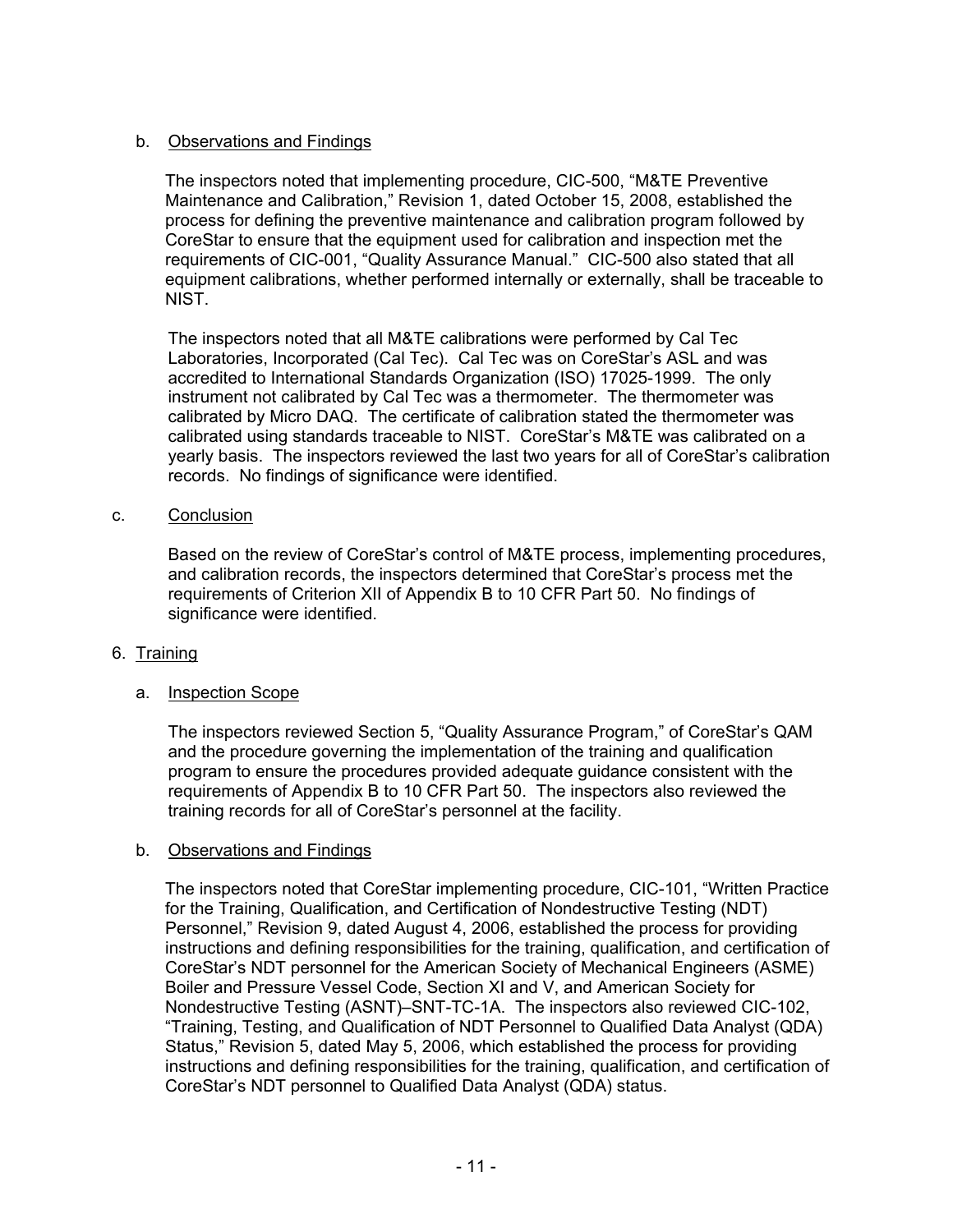# b. Observations and Findings

The inspectors noted that implementing procedure, CIC-500, "M&TE Preventive Maintenance and Calibration," Revision 1, dated October 15, 2008, established the process for defining the preventive maintenance and calibration program followed by CoreStar to ensure that the equipment used for calibration and inspection met the requirements of CIC-001, "Quality Assurance Manual." CIC-500 also stated that all equipment calibrations, whether performed internally or externally, shall be traceable to NIST.

The inspectors noted that all M&TE calibrations were performed by Cal Tec Laboratories, Incorporated (Cal Tec). Cal Tec was on CoreStar's ASL and was accredited to International Standards Organization (ISO) 17025-1999. The only instrument not calibrated by Cal Tec was a thermometer. The thermometer was calibrated by Micro DAQ. The certificate of calibration stated the thermometer was calibrated using standards traceable to NIST. CoreStar's M&TE was calibrated on a yearly basis. The inspectors reviewed the last two years for all of CoreStar's calibration records. No findings of significance were identified.

## c. Conclusion

Based on the review of CoreStar's control of M&TE process, implementing procedures, and calibration records, the inspectors determined that CoreStar's process met the requirements of Criterion XII of Appendix B to 10 CFR Part 50. No findings of significance were identified.

## 6. Training

## a. Inspection Scope

The inspectors reviewed Section 5, "Quality Assurance Program," of CoreStar's QAM and the procedure governing the implementation of the training and qualification program to ensure the procedures provided adequate guidance consistent with the requirements of Appendix B to 10 CFR Part 50. The inspectors also reviewed the training records for all of CoreStar's personnel at the facility.

## b. Observations and Findings

The inspectors noted that CoreStar implementing procedure, CIC-101, "Written Practice for the Training, Qualification, and Certification of Nondestructive Testing (NDT) Personnel," Revision 9, dated August 4, 2006, established the process for providing instructions and defining responsibilities for the training, qualification, and certification of CoreStar's NDT personnel for the American Society of Mechanical Engineers (ASME) Boiler and Pressure Vessel Code, Section XI and V, and American Society for Nondestructive Testing (ASNT)–SNT-TC-1A. The inspectors also reviewed CIC-102, "Training, Testing, and Qualification of NDT Personnel to Qualified Data Analyst (QDA) Status," Revision 5, dated May 5, 2006, which established the process for providing instructions and defining responsibilities for the training, qualification, and certification of CoreStar's NDT personnel to Qualified Data Analyst (QDA) status.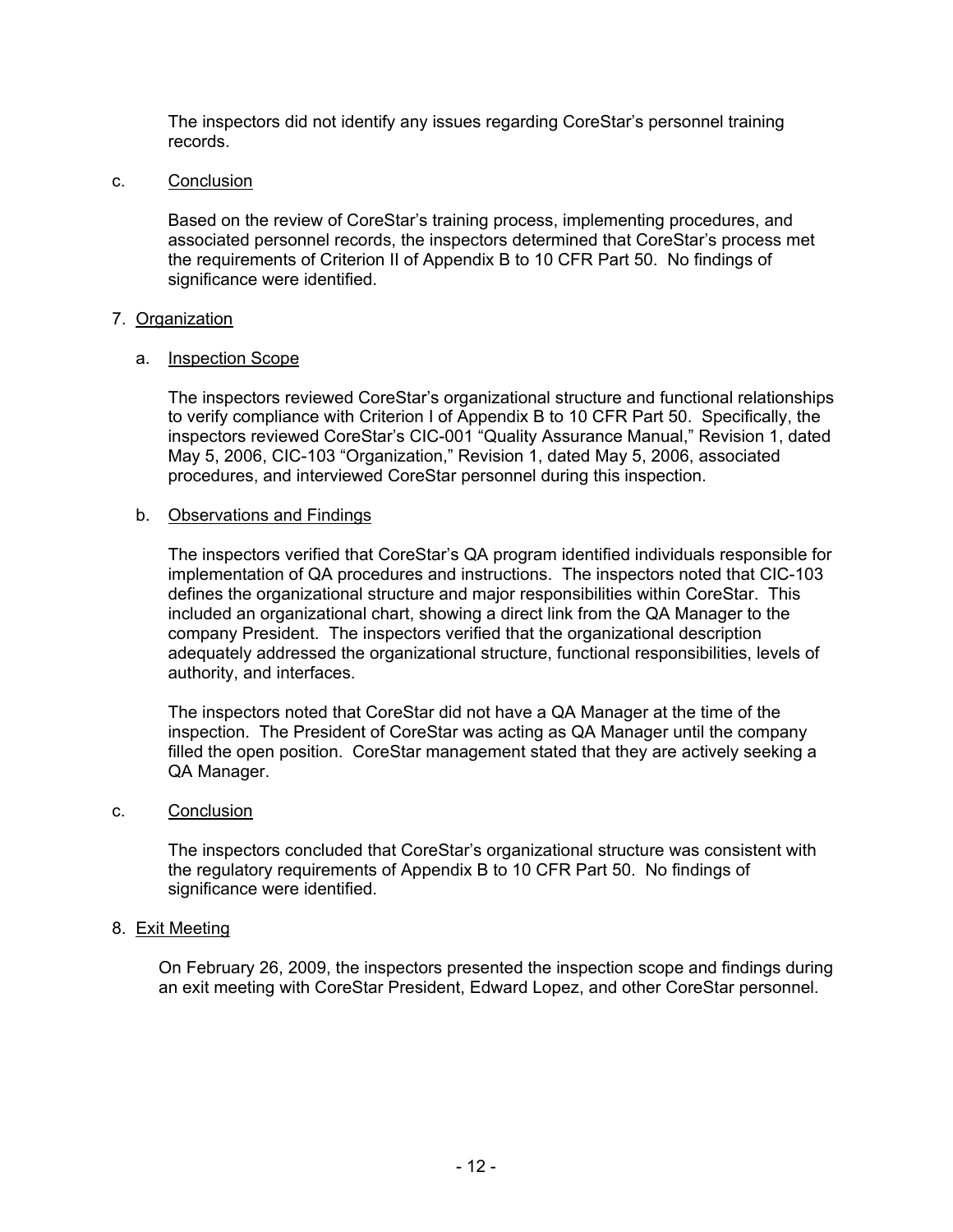The inspectors did not identify any issues regarding CoreStar's personnel training records.

c. Conclusion

Based on the review of CoreStar's training process, implementing procedures, and associated personnel records, the inspectors determined that CoreStar's process met the requirements of Criterion II of Appendix B to 10 CFR Part 50. No findings of significance were identified.

## 7. Organization

#### a. Inspection Scope

The inspectors reviewed CoreStar's organizational structure and functional relationships to verify compliance with Criterion I of Appendix B to 10 CFR Part 50. Specifically, the inspectors reviewed CoreStar's CIC-001 "Quality Assurance Manual," Revision 1, dated May 5, 2006, CIC-103 "Organization," Revision 1, dated May 5, 2006, associated procedures, and interviewed CoreStar personnel during this inspection.

#### b. Observations and Findings

The inspectors verified that CoreStar's QA program identified individuals responsible for implementation of QA procedures and instructions. The inspectors noted that CIC-103 defines the organizational structure and major responsibilities within CoreStar. This included an organizational chart, showing a direct link from the QA Manager to the company President. The inspectors verified that the organizational description adequately addressed the organizational structure, functional responsibilities, levels of authority, and interfaces.

The inspectors noted that CoreStar did not have a QA Manager at the time of the inspection. The President of CoreStar was acting as QA Manager until the company filled the open position. CoreStar management stated that they are actively seeking a QA Manager.

#### c. Conclusion

The inspectors concluded that CoreStar's organizational structure was consistent with the regulatory requirements of Appendix B to 10 CFR Part 50. No findings of significance were identified.

## 8. Exit Meeting

On February 26, 2009, the inspectors presented the inspection scope and findings during an exit meeting with CoreStar President, Edward Lopez, and other CoreStar personnel.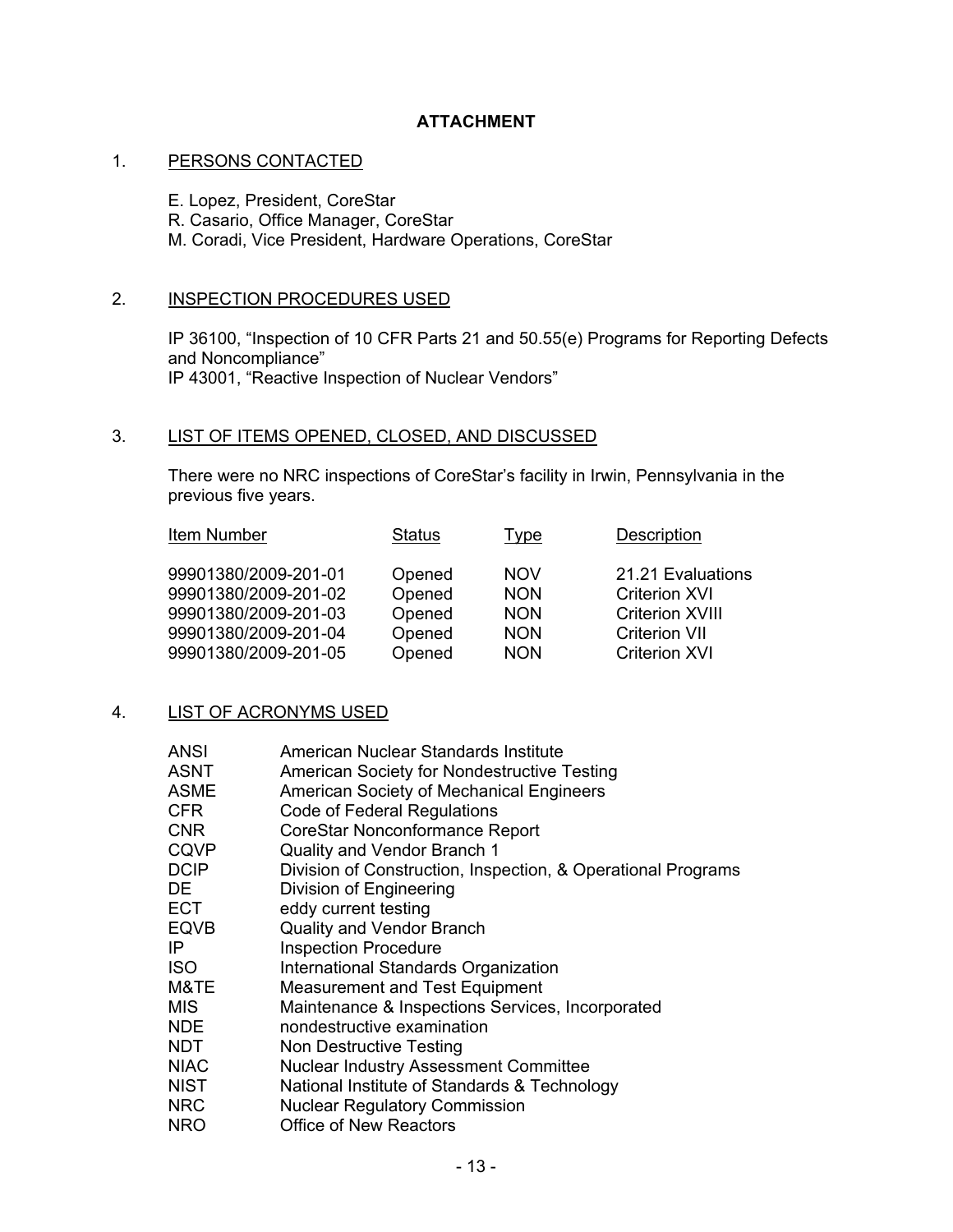# **ATTACHMENT**

#### 1. PERSONS CONTACTED

E. Lopez, President, CoreStar

R. Casario, Office Manager, CoreStar

M. Coradi, Vice President, Hardware Operations, CoreStar

## 2. INSPECTION PROCEDURES USED

IP 36100, "Inspection of 10 CFR Parts 21 and 50.55(e) Programs for Reporting Defects and Noncompliance" IP 43001, "Reactive Inspection of Nuclear Vendors"

## 3. LIST OF ITEMS OPENED, CLOSED, AND DISCUSSED

There were no NRC inspections of CoreStar's facility in Irwin, Pennsylvania in the previous five years.

| Item Number                                                                                                          | <b>Status</b>                                  | <u>Type</u>                                                        | <b>Description</b>                                                                                                  |
|----------------------------------------------------------------------------------------------------------------------|------------------------------------------------|--------------------------------------------------------------------|---------------------------------------------------------------------------------------------------------------------|
| 99901380/2009-201-01<br>99901380/2009-201-02<br>99901380/2009-201-03<br>99901380/2009-201-04<br>99901380/2009-201-05 | Opened<br>Opened<br>Opened<br>Opened<br>Opened | <b>NOV</b><br><b>NON</b><br><b>NON</b><br><b>NON</b><br><b>NON</b> | 21.21 Evaluations<br><b>Criterion XVI</b><br><b>Criterion XVIII</b><br><b>Criterion VII</b><br><b>Criterion XVI</b> |
|                                                                                                                      |                                                |                                                                    |                                                                                                                     |

## 4. LIST OF ACRONYMS USED

| <b>ANSI</b> | American Nuclear Standards Institute                         |
|-------------|--------------------------------------------------------------|
| <b>ASNT</b> | <b>American Society for Nondestructive Testing</b>           |
| <b>ASME</b> | <b>American Society of Mechanical Engineers</b>              |
| <b>CFR</b>  | Code of Federal Regulations                                  |
| <b>CNR</b>  | CoreStar Nonconformance Report                               |
| <b>CQVP</b> | Quality and Vendor Branch 1                                  |
| <b>DCIP</b> | Division of Construction, Inspection, & Operational Programs |
| DE          | Division of Engineering                                      |
| <b>ECT</b>  | eddy current testing                                         |
| <b>EQVB</b> | <b>Quality and Vendor Branch</b>                             |
| IP.         | <b>Inspection Procedure</b>                                  |
| <b>ISO</b>  | International Standards Organization                         |
| M&TE        | <b>Measurement and Test Equipment</b>                        |
| MIS.        | Maintenance & Inspections Services, Incorporated             |
| <b>NDE</b>  | nondestructive examination                                   |
| <b>NDT</b>  | Non Destructive Testing                                      |
| <b>NIAC</b> | <b>Nuclear Industry Assessment Committee</b>                 |
| <b>NIST</b> | National Institute of Standards & Technology                 |
| <b>NRC</b>  | <b>Nuclear Regulatory Commission</b>                         |
| <b>NRO</b>  | <b>Office of New Reactors</b>                                |
|             |                                                              |